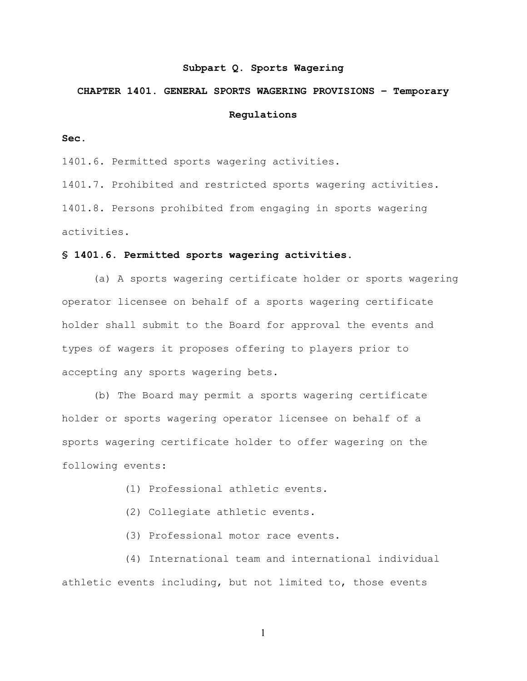#### **Subpart Q. Sports Wagering**

# **CHAPTER 1401. GENERAL SPORTS WAGERING PROVISIONS – Temporary Regulations**

**Sec.**

1401.6. Permitted sports wagering activities.

1401.7. Prohibited and restricted sports wagering activities. 1401.8. Persons prohibited from engaging in sports wagering activities.

## **§ 1401.6. Permitted sports wagering activities.**

(a) A sports wagering certificate holder or sports wagering operator licensee on behalf of a sports wagering certificate holder shall submit to the Board for approval the events and types of wagers it proposes offering to players prior to accepting any sports wagering bets.

(b) The Board may permit a sports wagering certificate holder or sports wagering operator licensee on behalf of a sports wagering certificate holder to offer wagering on the following events:

- (1) Professional athletic events.
- (2) Collegiate athletic events.
- (3) Professional motor race events.

(4) International team and international individual athletic events including, but not limited to, those events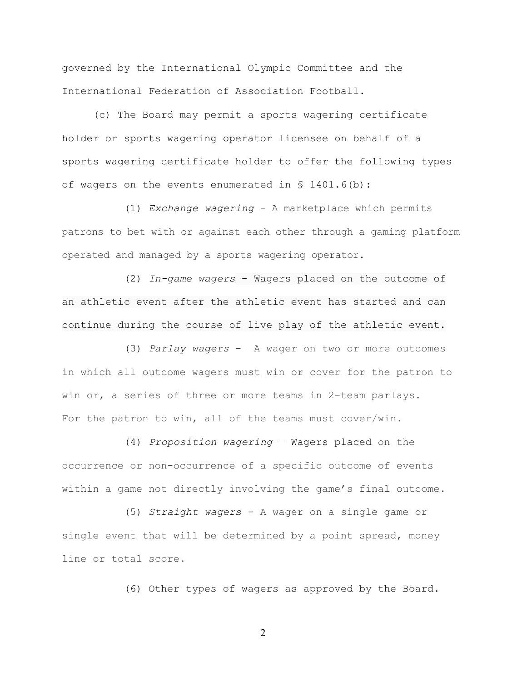governed by the International Olympic Committee and the International Federation of Association Football.

(c) The Board may permit a sports wagering certificate holder or sports wagering operator licensee on behalf of a sports wagering certificate holder to offer the following types of wagers on the events enumerated in § 1401.6(b):

(1) *Exchange wagering* - A marketplace which permits patrons to bet with or against each other through a gaming platform operated and managed by a sports wagering operator.

(2) *In-game wagers* – Wagers placed on the outcome of an athletic event after the athletic event has started and can continue during the course of live play of the athletic event.

(3) *Parlay wagers* - A wager on two or more outcomes in which all outcome wagers must win or cover for the patron to win or, a series of three or more teams in 2-team parlays. For the patron to win, all of the teams must cover/win.

(4) *Proposition wagering* – Wagers placed on the occurrence or non-occurrence of a specific outcome of events within a game not directly involving the game's final outcome.

(5) *Straight wagers* - A wager on a single game or single event that will be determined by a point spread, money line or total score.

(6) Other types of wagers as approved by the Board.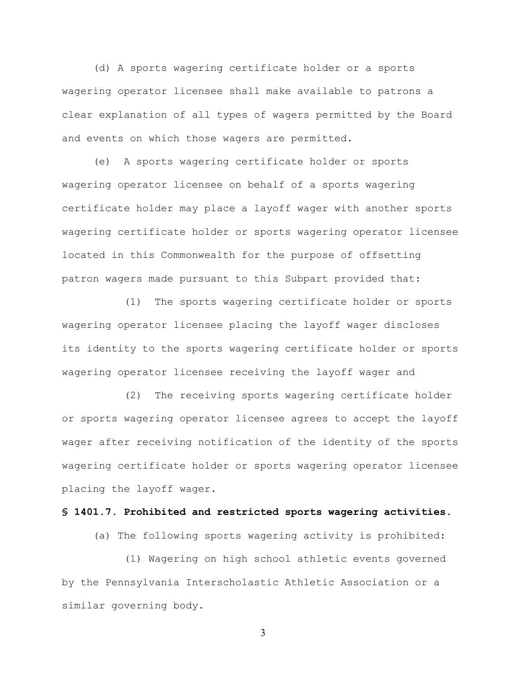(d) A sports wagering certificate holder or a sports wagering operator licensee shall make available to patrons a clear explanation of all types of wagers permitted by the Board and events on which those wagers are permitted.

(e) A sports wagering certificate holder or sports wagering operator licensee on behalf of a sports wagering certificate holder may place a layoff wager with another sports wagering certificate holder or sports wagering operator licensee located in this Commonwealth for the purpose of offsetting patron wagers made pursuant to this Subpart provided that:

(1) The sports wagering certificate holder or sports wagering operator licensee placing the layoff wager discloses its identity to the sports wagering certificate holder or sports wagering operator licensee receiving the layoff wager and

(2) The receiving sports wagering certificate holder or sports wagering operator licensee agrees to accept the layoff wager after receiving notification of the identity of the sports wagering certificate holder or sports wagering operator licensee placing the layoff wager.

# **§ 1401.7. Prohibited and restricted sports wagering activities.**

(a) The following sports wagering activity is prohibited:

(1) Wagering on high school athletic events governed by the Pennsylvania Interscholastic Athletic Association or a similar governing body.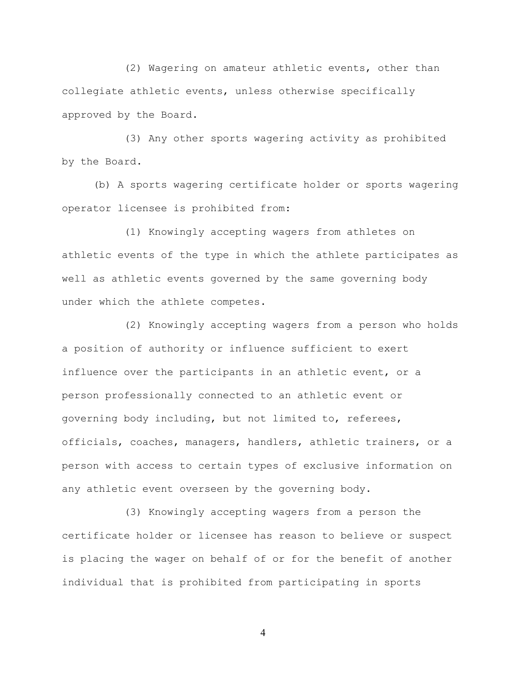(2) Wagering on amateur athletic events, other than collegiate athletic events, unless otherwise specifically approved by the Board.

(3) Any other sports wagering activity as prohibited by the Board.

(b) A sports wagering certificate holder or sports wagering operator licensee is prohibited from:

(1) Knowingly accepting wagers from athletes on athletic events of the type in which the athlete participates as well as athletic events governed by the same governing body under which the athlete competes.

(2) Knowingly accepting wagers from a person who holds a position of authority or influence sufficient to exert influence over the participants in an athletic event, or a person professionally connected to an athletic event or governing body including, but not limited to, referees, officials, coaches, managers, handlers, athletic trainers, or a person with access to certain types of exclusive information on any athletic event overseen by the governing body.

(3) Knowingly accepting wagers from a person the certificate holder or licensee has reason to believe or suspect is placing the wager on behalf of or for the benefit of another individual that is prohibited from participating in sports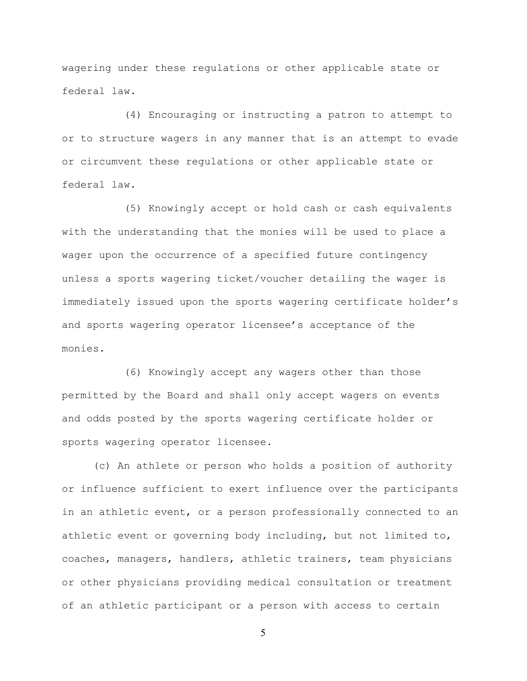wagering under these regulations or other applicable state or federal law.

(4) Encouraging or instructing a patron to attempt to or to structure wagers in any manner that is an attempt to evade or circumvent these regulations or other applicable state or federal law.

(5) Knowingly accept or hold cash or cash equivalents with the understanding that the monies will be used to place a wager upon the occurrence of a specified future contingency unless a sports wagering ticket/voucher detailing the wager is immediately issued upon the sports wagering certificate holder's and sports wagering operator licensee's acceptance of the monies.

(6) Knowingly accept any wagers other than those permitted by the Board and shall only accept wagers on events and odds posted by the sports wagering certificate holder or sports wagering operator licensee.

(c) An athlete or person who holds a position of authority or influence sufficient to exert influence over the participants in an athletic event, or a person professionally connected to an athletic event or governing body including, but not limited to, coaches, managers, handlers, athletic trainers, team physicians or other physicians providing medical consultation or treatment of an athletic participant or a person with access to certain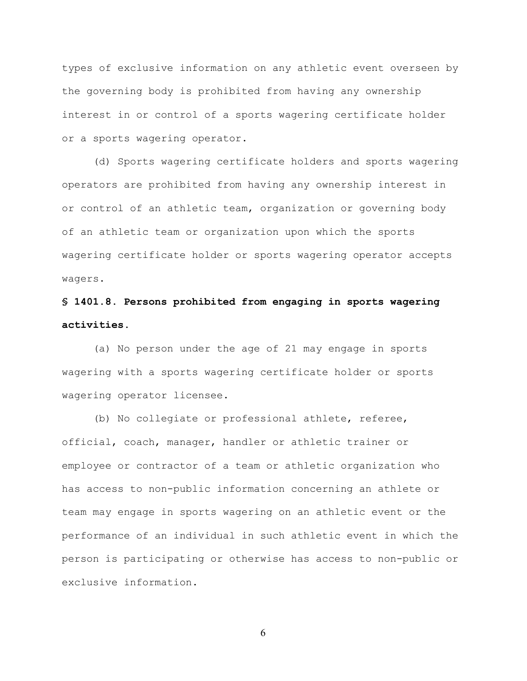types of exclusive information on any athletic event overseen by the governing body is prohibited from having any ownership interest in or control of a sports wagering certificate holder or a sports wagering operator.

(d) Sports wagering certificate holders and sports wagering operators are prohibited from having any ownership interest in or control of an athletic team, organization or governing body of an athletic team or organization upon which the sports wagering certificate holder or sports wagering operator accepts wagers.

# **§ 1401.8. Persons prohibited from engaging in sports wagering activities.**

(a) No person under the age of 21 may engage in sports wagering with a sports wagering certificate holder or sports wagering operator licensee.

(b) No collegiate or professional athlete, referee, official, coach, manager, handler or athletic trainer or employee or contractor of a team or athletic organization who has access to non-public information concerning an athlete or team may engage in sports wagering on an athletic event or the performance of an individual in such athletic event in which the person is participating or otherwise has access to non-public or exclusive information.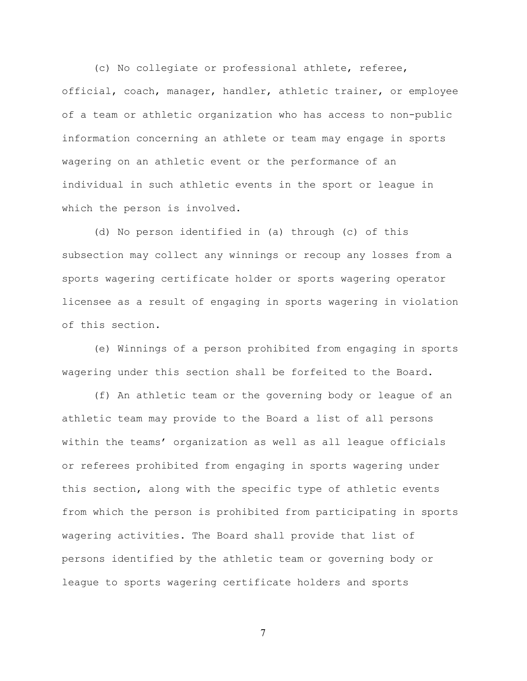(c) No collegiate or professional athlete, referee, official, coach, manager, handler, athletic trainer, or employee of a team or athletic organization who has access to non-public information concerning an athlete or team may engage in sports wagering on an athletic event or the performance of an individual in such athletic events in the sport or league in which the person is involved.

(d) No person identified in (a) through (c) of this subsection may collect any winnings or recoup any losses from a sports wagering certificate holder or sports wagering operator licensee as a result of engaging in sports wagering in violation of this section.

(e) Winnings of a person prohibited from engaging in sports wagering under this section shall be forfeited to the Board.

(f) An athletic team or the governing body or league of an athletic team may provide to the Board a list of all persons within the teams' organization as well as all league officials or referees prohibited from engaging in sports wagering under this section, along with the specific type of athletic events from which the person is prohibited from participating in sports wagering activities. The Board shall provide that list of persons identified by the athletic team or governing body or league to sports wagering certificate holders and sports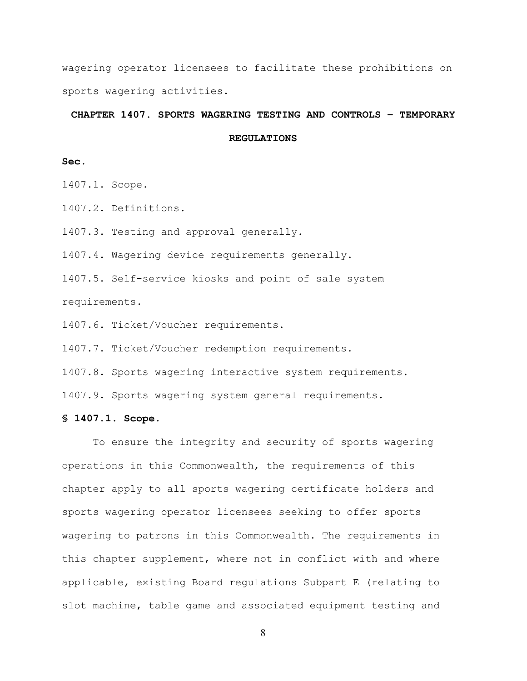wagering operator licensees to facilitate these prohibitions on sports wagering activities.

#### **CHAPTER 1407. SPORTS WAGERING TESTING AND CONTROLS – TEMPORARY**

**REGULATIONS** 

### **Sec.**

1407.1. Scope.

1407.2. Definitions.

1407.3. Testing and approval generally.

1407.4. Wagering device requirements generally.

1407.5. Self-service kiosks and point of sale system requirements.

1407.6. Ticket/Voucher requirements.

1407.7. Ticket/Voucher redemption requirements.

1407.8. Sports wagering interactive system requirements.

1407.9. Sports wagering system general requirements.

#### **§ 1407.1. Scope.**

To ensure the integrity and security of sports wagering operations in this Commonwealth, the requirements of this chapter apply to all sports wagering certificate holders and sports wagering operator licensees seeking to offer sports wagering to patrons in this Commonwealth. The requirements in this chapter supplement, where not in conflict with and where applicable, existing Board regulations Subpart E (relating to slot machine, table game and associated equipment testing and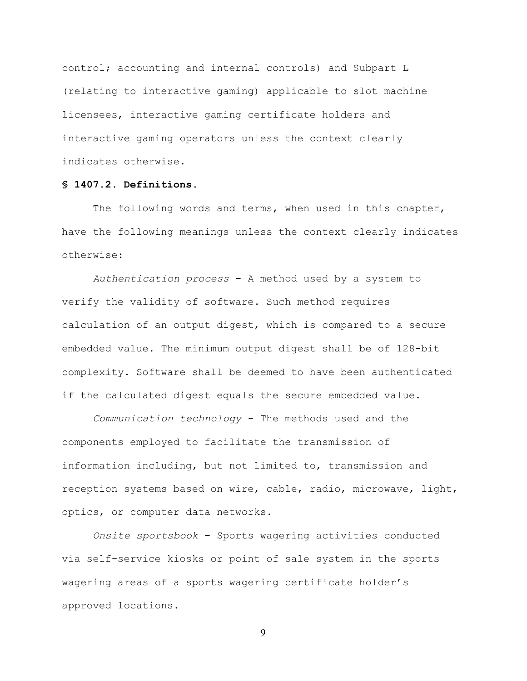control; accounting and internal controls) and Subpart L (relating to interactive gaming) applicable to slot machine licensees, interactive gaming certificate holders and interactive gaming operators unless the context clearly indicates otherwise.

# **§ 1407.2. Definitions.**

The following words and terms, when used in this chapter, have the following meanings unless the context clearly indicates otherwise:

*Authentication process* – A method used by a system to verify the validity of software. Such method requires calculation of an output digest, which is compared to a secure embedded value. The minimum output digest shall be of 128-bit complexity. Software shall be deemed to have been authenticated if the calculated digest equals the secure embedded value.

*Communication technology* - The methods used and the components employed to facilitate the transmission of information including, but not limited to, transmission and reception systems based on wire, cable, radio, microwave, light, optics, or computer data networks.

*Onsite sportsbook* – Sports wagering activities conducted via self-service kiosks or point of sale system in the sports wagering areas of a sports wagering certificate holder's approved locations.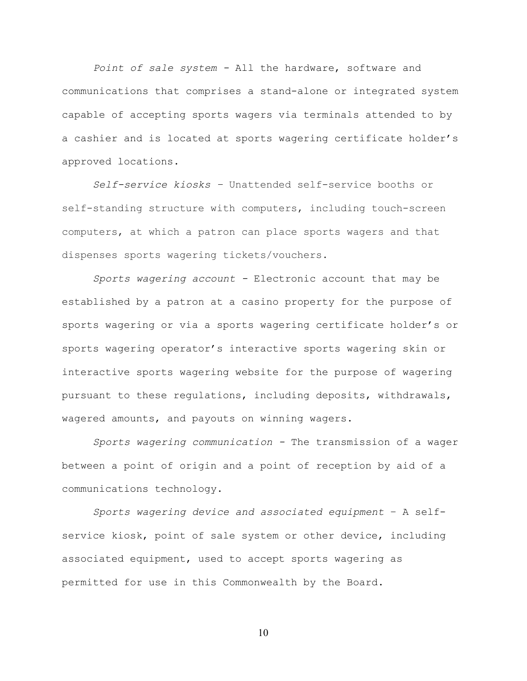*Point of sale system -* All the hardware, software and communications that comprises a stand-alone or integrated system capable of accepting sports wagers via terminals attended to by a cashier and is located at sports wagering certificate holder's approved locations.

*Self-service kiosks –* Unattended self-service booths or self-standing structure with computers, including touch-screen computers, at which a patron can place sports wagers and that dispenses sports wagering tickets/vouchers.

*Sports wagering account -* Electronic account that may be established by a patron at a casino property for the purpose of sports wagering or via a sports wagering certificate holder's or sports wagering operator's interactive sports wagering skin or interactive sports wagering website for the purpose of wagering pursuant to these regulations, including deposits, withdrawals, wagered amounts, and payouts on winning wagers.

*Sports wagering communication -* The transmission of a wager between a point of origin and a point of reception by aid of a communications technology.

*Sports wagering device and associated equipment* – A selfservice kiosk, point of sale system or other device, including associated equipment, used to accept sports wagering as permitted for use in this Commonwealth by the Board.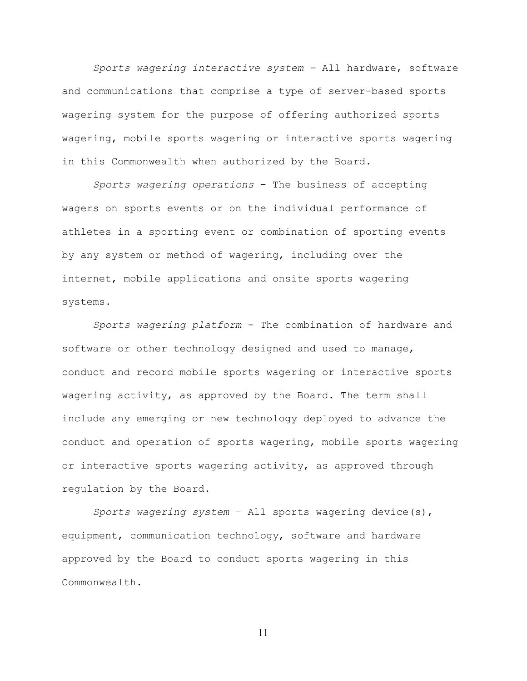*Sports wagering interactive system -* All hardware, software and communications that comprise a type of server-based sports wagering system for the purpose of offering authorized sports wagering, mobile sports wagering or interactive sports wagering in this Commonwealth when authorized by the Board.

*Sports wagering operations* – The business of accepting wagers on sports events or on the individual performance of athletes in a sporting event or combination of sporting events by any system or method of wagering, including over the internet, mobile applications and onsite sports wagering systems.

*Sports wagering platform* - The combination of hardware and software or other technology designed and used to manage, conduct and record mobile sports wagering or interactive sports wagering activity, as approved by the Board. The term shall include any emerging or new technology deployed to advance the conduct and operation of sports wagering, mobile sports wagering or interactive sports wagering activity, as approved through regulation by the Board.

*Sports wagering system* – All sports wagering device(s), equipment, communication technology, software and hardware approved by the Board to conduct sports wagering in this Commonwealth.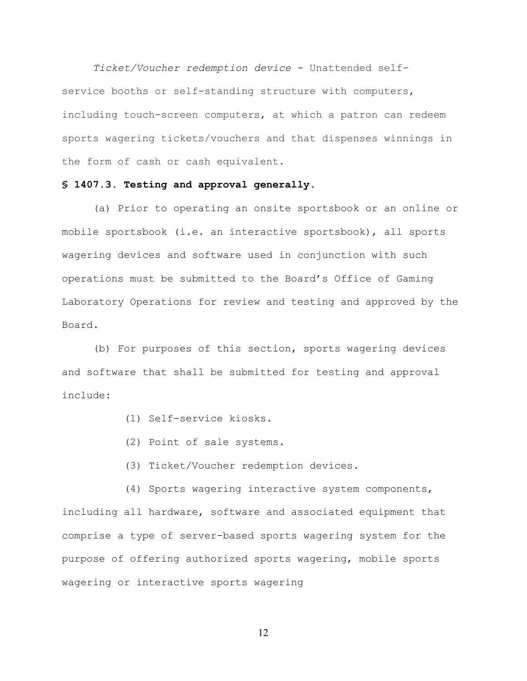*Ticket/Voucher redemption device* - Unattended selfservice booths or self-standing structure with computers, including touch-screen computers, at which a patron can redeem sports wagering tickets/vouchers and that dispenses winnings in the form of cash or cash equivalent.

# **§ 1407.3. Testing and approval generally.**

(a) Prior to operating an onsite sportsbook or an online or mobile sportsbook (i.e. an interactive sportsbook), all sports wagering devices and software used in conjunction with such operations must be submitted to the Board's Office of Gaming Laboratory Operations for review and testing and approved by the Board.

(b) For purposes of this section, sports wagering devices and software that shall be submitted for testing and approval include:

- (1) Self-service kiosks.
- (2) Point of sale systems.
- (3) Ticket/Voucher redemption devices.

(4) Sports wagering interactive system components, including all hardware, software and associated equipment that comprise a type of server-based sports wagering system for the purpose of offering authorized sports wagering, mobile sports wagering or interactive sports wagering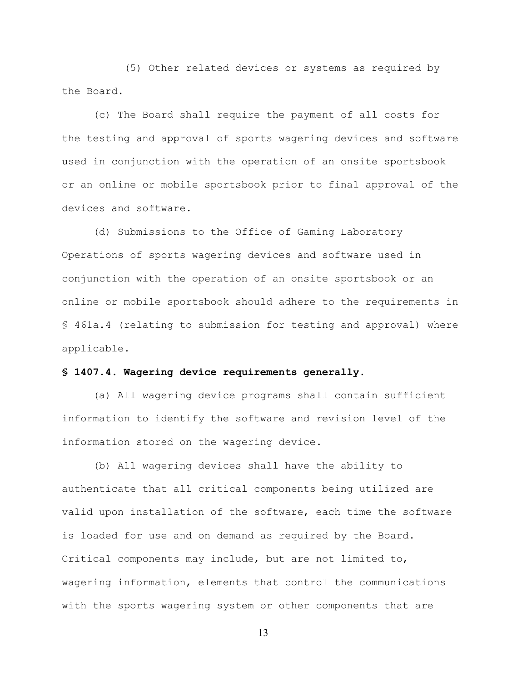(5) Other related devices or systems as required by the Board.

(c) The Board shall require the payment of all costs for the testing and approval of sports wagering devices and software used in conjunction with the operation of an onsite sportsbook or an online or mobile sportsbook prior to final approval of the devices and software.

(d) Submissions to the Office of Gaming Laboratory Operations of sports wagering devices and software used in conjunction with the operation of an onsite sportsbook or an online or mobile sportsbook should adhere to the requirements in § 461a.4 (relating to submission for testing and approval) where applicable.

#### **§ 1407.4. Wagering device requirements generally.**

(a) All wagering device programs shall contain sufficient information to identify the software and revision level of the information stored on the wagering device.

(b) All wagering devices shall have the ability to authenticate that all critical components being utilized are valid upon installation of the software, each time the software is loaded for use and on demand as required by the Board. Critical components may include, but are not limited to, wagering information, elements that control the communications with the sports wagering system or other components that are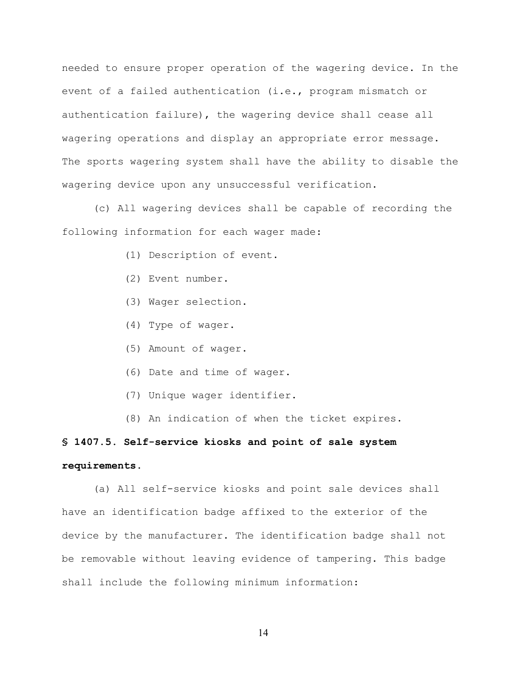needed to ensure proper operation of the wagering device. In the event of a failed authentication (i.e., program mismatch or authentication failure), the wagering device shall cease all wagering operations and display an appropriate error message. The sports wagering system shall have the ability to disable the wagering device upon any unsuccessful verification.

(c) All wagering devices shall be capable of recording the following information for each wager made:

- (1) Description of event.
- (2) Event number.
- (3) Wager selection.
- (4) Type of wager.
- (5) Amount of wager.
- (6) Date and time of wager.
- (7) Unique wager identifier.
- (8) An indication of when the ticket expires.

# **§ 1407.5. Self-service kiosks and point of sale system requirements.**

(a) All self-service kiosks and point sale devices shall have an identification badge affixed to the exterior of the device by the manufacturer. The identification badge shall not be removable without leaving evidence of tampering. This badge shall include the following minimum information: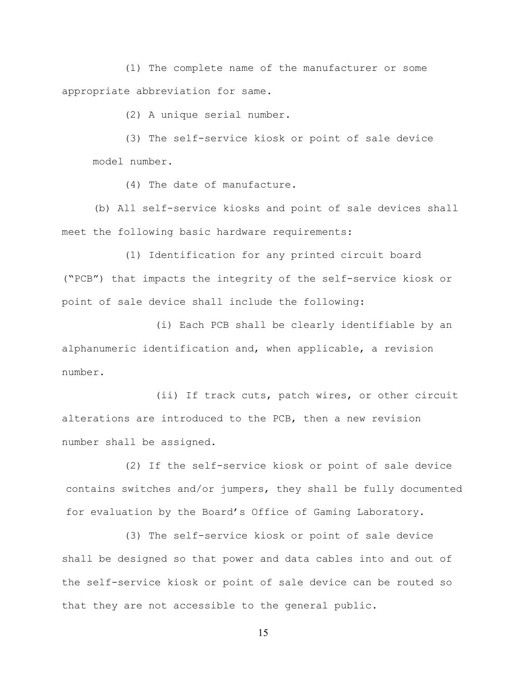(1) The complete name of the manufacturer or some appropriate abbreviation for same.

(2) A unique serial number.

(3) The self-service kiosk or point of sale device model number.

(4) The date of manufacture.

(b) All self-service kiosks and point of sale devices shall meet the following basic hardware requirements:

(1) Identification for any printed circuit board ("PCB") that impacts the integrity of the self-service kiosk or point of sale device shall include the following:

(i) Each PCB shall be clearly identifiable by an alphanumeric identification and, when applicable, a revision number.

(ii) If track cuts, patch wires, or other circuit alterations are introduced to the PCB, then a new revision number shall be assigned.

(2) If the self-service kiosk or point of sale device contains switches and/or jumpers, they shall be fully documented for evaluation by the Board's Office of Gaming Laboratory.

(3) The self-service kiosk or point of sale device shall be designed so that power and data cables into and out of the self-service kiosk or point of sale device can be routed so that they are not accessible to the general public.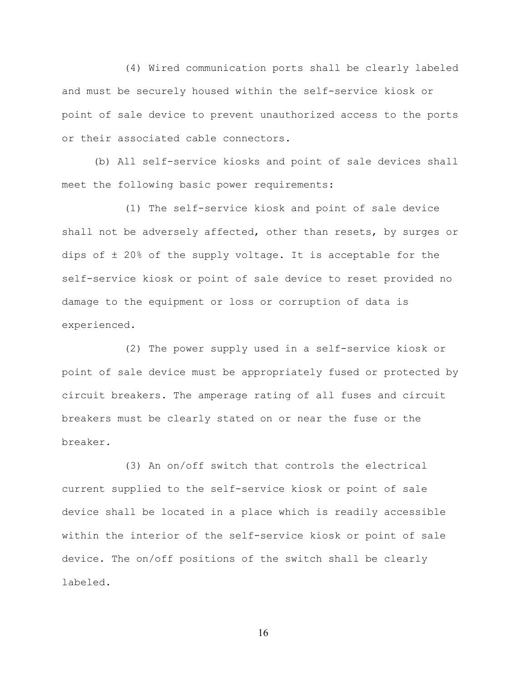(4) Wired communication ports shall be clearly labeled and must be securely housed within the self-service kiosk or point of sale device to prevent unauthorized access to the ports or their associated cable connectors.

(b) All self-service kiosks and point of sale devices shall meet the following basic power requirements:

(1) The self-service kiosk and point of sale device shall not be adversely affected, other than resets, by surges or dips of ± 20% of the supply voltage. It is acceptable for the self-service kiosk or point of sale device to reset provided no damage to the equipment or loss or corruption of data is experienced.

(2) The power supply used in a self-service kiosk or point of sale device must be appropriately fused or protected by circuit breakers. The amperage rating of all fuses and circuit breakers must be clearly stated on or near the fuse or the breaker.

(3) An on/off switch that controls the electrical current supplied to the self-service kiosk or point of sale device shall be located in a place which is readily accessible within the interior of the self-service kiosk or point of sale device. The on/off positions of the switch shall be clearly labeled.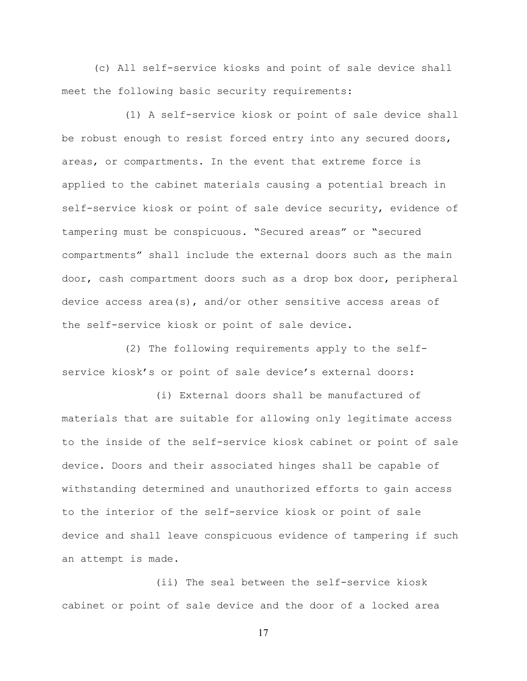(c) All self-service kiosks and point of sale device shall meet the following basic security requirements:

(1) A self-service kiosk or point of sale device shall be robust enough to resist forced entry into any secured doors, areas, or compartments. In the event that extreme force is applied to the cabinet materials causing a potential breach in self-service kiosk or point of sale device security, evidence of tampering must be conspicuous. "Secured areas" or "secured compartments" shall include the external doors such as the main door, cash compartment doors such as a drop box door, peripheral device access area(s), and/or other sensitive access areas of the self-service kiosk or point of sale device.

(2) The following requirements apply to the selfservice kiosk's or point of sale device's external doors:

(i) External doors shall be manufactured of materials that are suitable for allowing only legitimate access to the inside of the self-service kiosk cabinet or point of sale device. Doors and their associated hinges shall be capable of withstanding determined and unauthorized efforts to gain access to the interior of the self-service kiosk or point of sale device and shall leave conspicuous evidence of tampering if such an attempt is made.

(ii) The seal between the self-service kiosk cabinet or point of sale device and the door of a locked area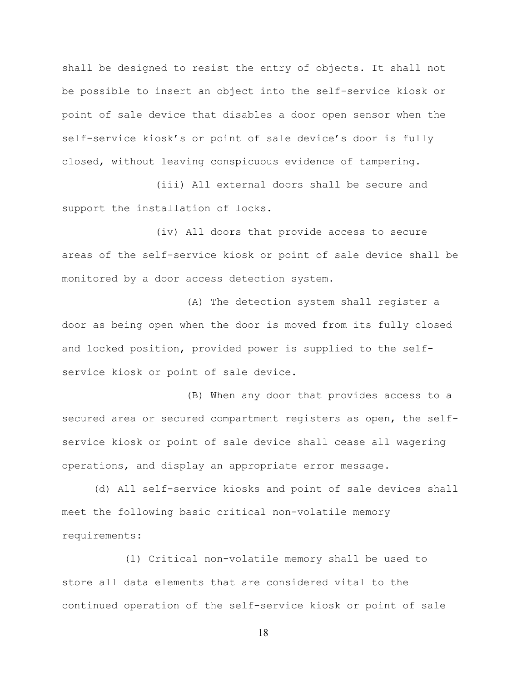shall be designed to resist the entry of objects. It shall not be possible to insert an object into the self-service kiosk or point of sale device that disables a door open sensor when the self-service kiosk's or point of sale device's door is fully closed, without leaving conspicuous evidence of tampering.

(iii) All external doors shall be secure and support the installation of locks.

(iv) All doors that provide access to secure areas of the self-service kiosk or point of sale device shall be monitored by a door access detection system.

(A) The detection system shall register a door as being open when the door is moved from its fully closed and locked position, provided power is supplied to the selfservice kiosk or point of sale device.

(B) When any door that provides access to a secured area or secured compartment registers as open, the selfservice kiosk or point of sale device shall cease all wagering operations, and display an appropriate error message.

(d) All self-service kiosks and point of sale devices shall meet the following basic critical non-volatile memory requirements:

(1) Critical non-volatile memory shall be used to store all data elements that are considered vital to the continued operation of the self-service kiosk or point of sale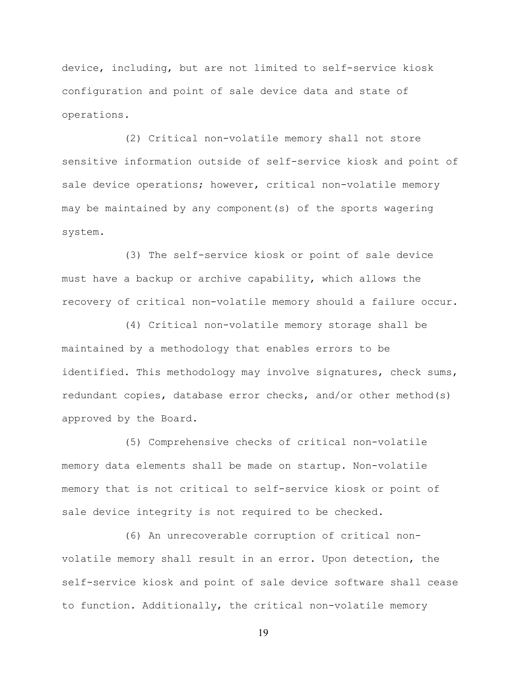device, including, but are not limited to self-service kiosk configuration and point of sale device data and state of operations.

(2) Critical non-volatile memory shall not store sensitive information outside of self-service kiosk and point of sale device operations; however, critical non-volatile memory may be maintained by any component(s) of the sports wagering system.

(3) The self-service kiosk or point of sale device must have a backup or archive capability, which allows the recovery of critical non-volatile memory should a failure occur.

(4) Critical non-volatile memory storage shall be maintained by a methodology that enables errors to be identified. This methodology may involve signatures, check sums, redundant copies, database error checks, and/or other method(s) approved by the Board.

(5) Comprehensive checks of critical non-volatile memory data elements shall be made on startup. Non-volatile memory that is not critical to self-service kiosk or point of sale device integrity is not required to be checked.

(6) An unrecoverable corruption of critical nonvolatile memory shall result in an error. Upon detection, the self-service kiosk and point of sale device software shall cease to function. Additionally, the critical non-volatile memory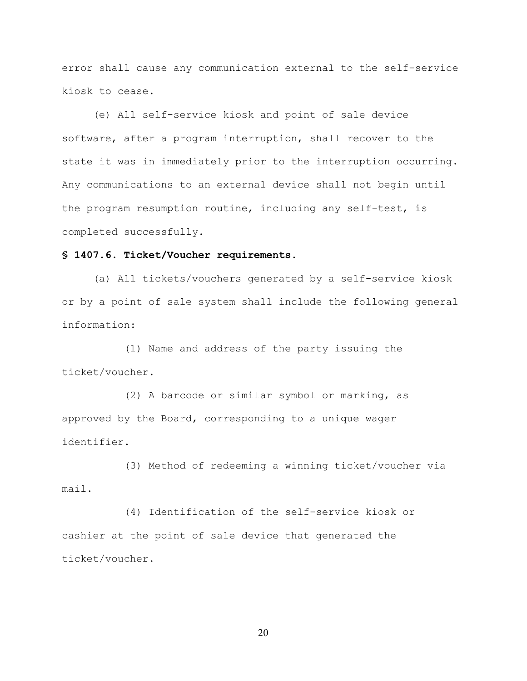error shall cause any communication external to the self-service kiosk to cease.

(e) All self-service kiosk and point of sale device software, after a program interruption, shall recover to the state it was in immediately prior to the interruption occurring. Any communications to an external device shall not begin until the program resumption routine, including any self-test, is completed successfully.

# **§ 1407.6. Ticket/Voucher requirements.**

(a) All tickets/vouchers generated by a self-service kiosk or by a point of sale system shall include the following general information:

(1) Name and address of the party issuing the ticket/voucher.

(2) A barcode or similar symbol or marking, as approved by the Board, corresponding to a unique wager identifier.

(3) Method of redeeming a winning ticket/voucher via mail.

(4) Identification of the self-service kiosk or cashier at the point of sale device that generated the ticket/voucher.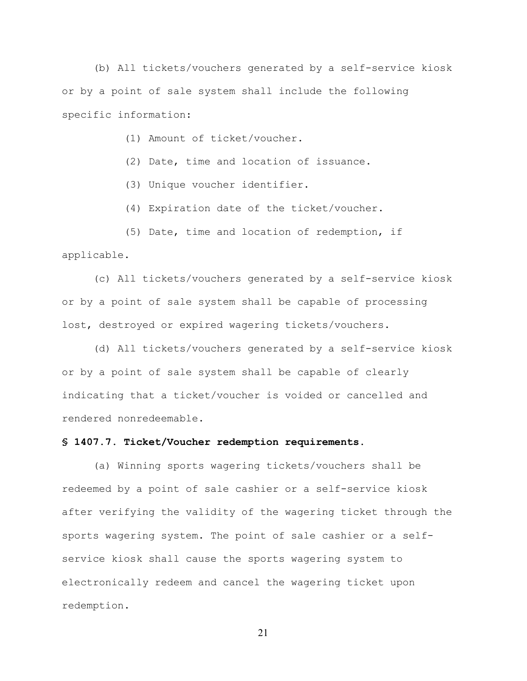(b) All tickets/vouchers generated by a self-service kiosk or by a point of sale system shall include the following specific information:

(1) Amount of ticket/voucher.

(2) Date, time and location of issuance.

(3) Unique voucher identifier.

(4) Expiration date of the ticket/voucher.

(5) Date, time and location of redemption, if applicable.

(c) All tickets/vouchers generated by a self-service kiosk or by a point of sale system shall be capable of processing lost, destroyed or expired wagering tickets/vouchers.

(d) All tickets/vouchers generated by a self-service kiosk or by a point of sale system shall be capable of clearly indicating that a ticket/voucher is voided or cancelled and rendered nonredeemable.

# **§ 1407.7. Ticket/Voucher redemption requirements.**

(a) Winning sports wagering tickets/vouchers shall be redeemed by a point of sale cashier or a self-service kiosk after verifying the validity of the wagering ticket through the sports wagering system. The point of sale cashier or a selfservice kiosk shall cause the sports wagering system to electronically redeem and cancel the wagering ticket upon redemption.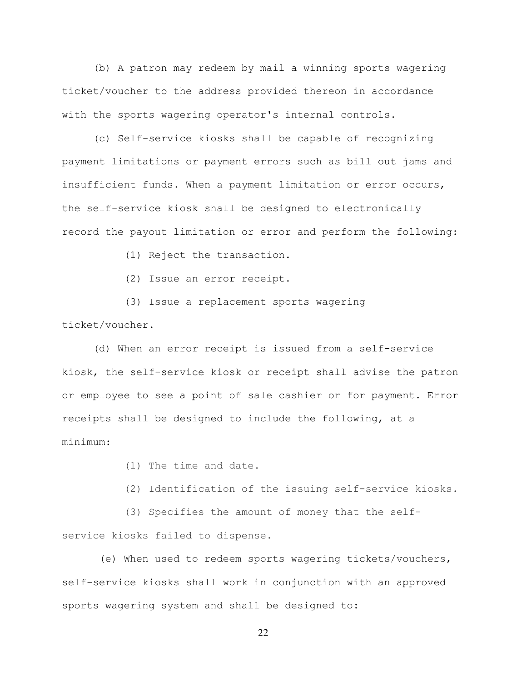(b) A patron may redeem by mail a winning sports wagering ticket/voucher to the address provided thereon in accordance with the sports wagering operator's internal controls.

(c) Self-service kiosks shall be capable of recognizing payment limitations or payment errors such as bill out jams and insufficient funds. When a payment limitation or error occurs, the self-service kiosk shall be designed to electronically record the payout limitation or error and perform the following:

(1) Reject the transaction.

(2) Issue an error receipt.

(3) Issue a replacement sports wagering ticket/voucher.

(d) When an error receipt is issued from a self-service kiosk, the self-service kiosk or receipt shall advise the patron or employee to see a point of sale cashier or for payment. Error receipts shall be designed to include the following, at a minimum:

(1) The time and date.

(2) Identification of the issuing self-service kiosks.

(3) Specifies the amount of money that the self-

service kiosks failed to dispense.

(e) When used to redeem sports wagering tickets/vouchers, self-service kiosks shall work in conjunction with an approved sports wagering system and shall be designed to: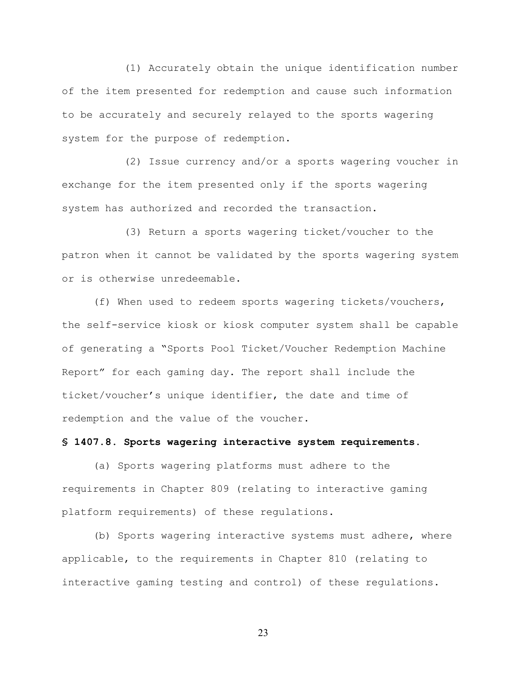(1) Accurately obtain the unique identification number of the item presented for redemption and cause such information to be accurately and securely relayed to the sports wagering system for the purpose of redemption.

(2) Issue currency and/or a sports wagering voucher in exchange for the item presented only if the sports wagering system has authorized and recorded the transaction.

(3) Return a sports wagering ticket/voucher to the patron when it cannot be validated by the sports wagering system or is otherwise unredeemable.

(f) When used to redeem sports wagering tickets/vouchers, the self-service kiosk or kiosk computer system shall be capable of generating a "Sports Pool Ticket/Voucher Redemption Machine Report" for each gaming day. The report shall include the ticket/voucher's unique identifier, the date and time of redemption and the value of the voucher.

### **§ 1407.8. Sports wagering interactive system requirements.**

(a) Sports wagering platforms must adhere to the requirements in Chapter 809 (relating to interactive gaming platform requirements) of these regulations.

(b) Sports wagering interactive systems must adhere, where applicable, to the requirements in Chapter 810 (relating to interactive gaming testing and control) of these regulations.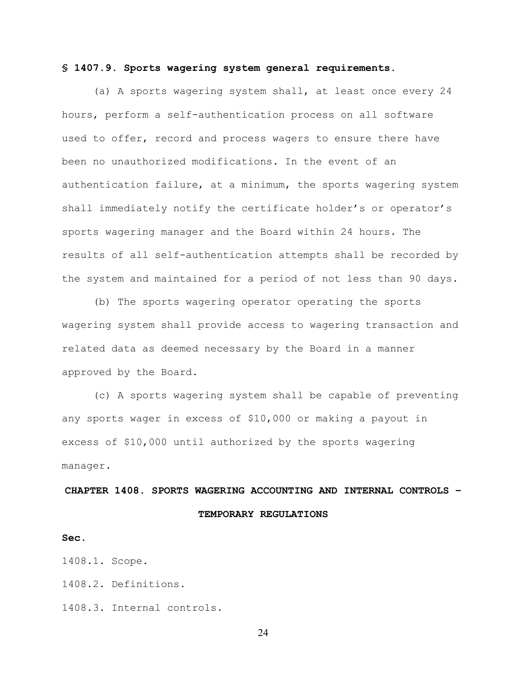#### **§ 1407.9. Sports wagering system general requirements.**

(a) A sports wagering system shall, at least once every 24 hours, perform a self-authentication process on all software used to offer, record and process wagers to ensure there have been no unauthorized modifications. In the event of an authentication failure, at a minimum, the sports wagering system shall immediately notify the certificate holder's or operator's sports wagering manager and the Board within 24 hours. The results of all self-authentication attempts shall be recorded by the system and maintained for a period of not less than 90 days.

(b) The sports wagering operator operating the sports wagering system shall provide access to wagering transaction and related data as deemed necessary by the Board in a manner approved by the Board.

(c) A sports wagering system shall be capable of preventing any sports wager in excess of \$10,000 or making a payout in excess of \$10,000 until authorized by the sports wagering manager.

# **CHAPTER 1408. SPORTS WAGERING ACCOUNTING AND INTERNAL CONTROLS – TEMPORARY REGULATIONS**

#### **Sec.**

1408.1. Scope.

1408.2. Definitions.

1408.3. Internal controls.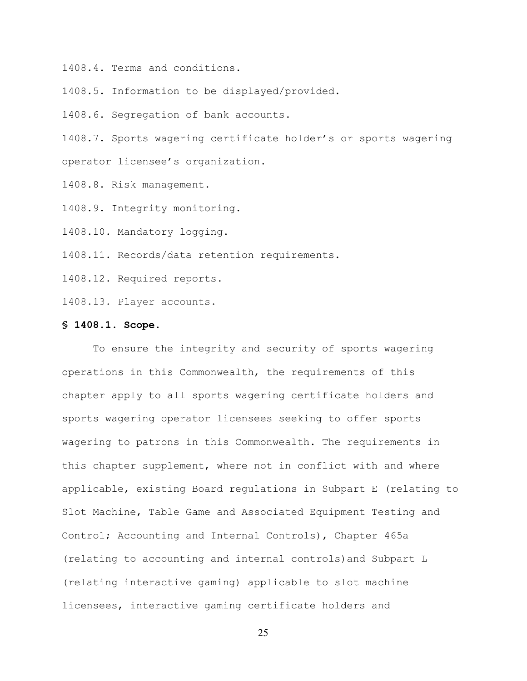1408.4. Terms and conditions.

1408.5. Information to be displayed/provided.

1408.6. Segregation of bank accounts.

1408.7. Sports wagering certificate holder's or sports wagering operator licensee's organization.

1408.8. Risk management.

1408.9. Integrity monitoring.

1408.10. Mandatory logging.

1408.11. Records/data retention requirements.

1408.12. Required reports.

1408.13. Player accounts.

#### **§ 1408.1. Scope.**

To ensure the integrity and security of sports wagering operations in this Commonwealth, the requirements of this chapter apply to all sports wagering certificate holders and sports wagering operator licensees seeking to offer sports wagering to patrons in this Commonwealth. The requirements in this chapter supplement, where not in conflict with and where applicable, existing Board regulations in Subpart E (relating to Slot Machine, Table Game and Associated Equipment Testing and Control; Accounting and Internal Controls), Chapter 465a (relating to accounting and internal controls)and Subpart L (relating interactive gaming) applicable to slot machine licensees, interactive gaming certificate holders and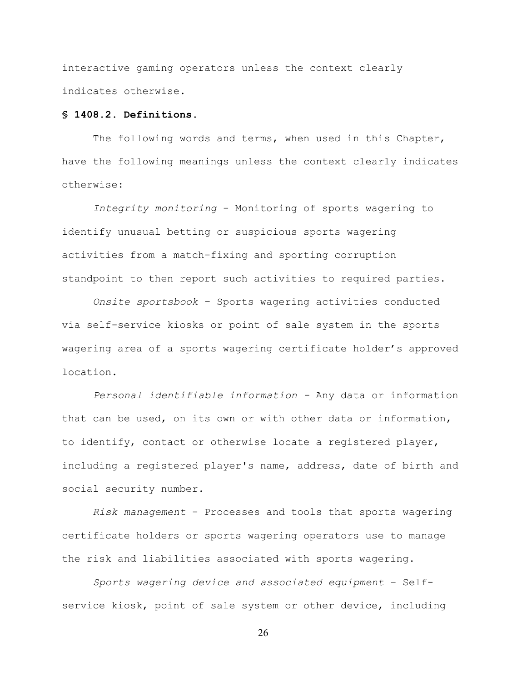interactive gaming operators unless the context clearly indicates otherwise.

# **§ 1408.2. Definitions.**

The following words and terms, when used in this Chapter, have the following meanings unless the context clearly indicates otherwise:

*Integrity monitoring* - Monitoring of sports wagering to identify unusual betting or suspicious sports wagering activities from a match-fixing and sporting corruption standpoint to then report such activities to required parties.

*Onsite sportsbook* – Sports wagering activities conducted via self-service kiosks or point of sale system in the sports wagering area of a sports wagering certificate holder's approved location.

*Personal identifiable information -* Any data or information that can be used, on its own or with other data or information, to identify, contact or otherwise locate a registered player, including a registered player's name, address, date of birth and social security number.

*Risk management* - Processes and tools that sports wagering certificate holders or sports wagering operators use to manage the risk and liabilities associated with sports wagering.

*Sports wagering device and associated equipment* – Selfservice kiosk, point of sale system or other device, including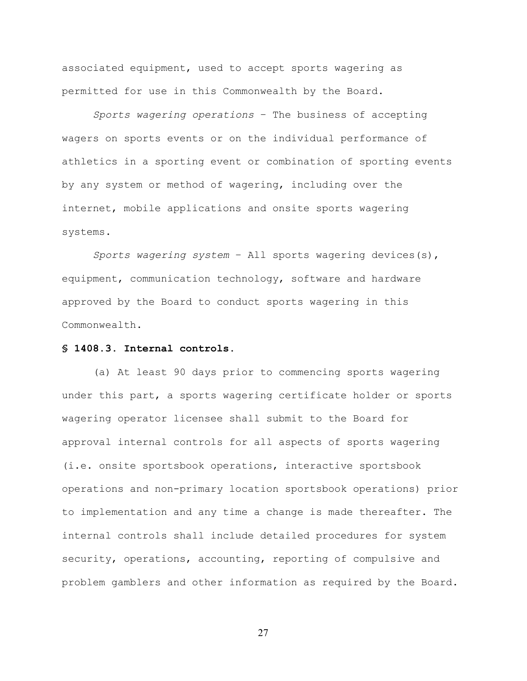associated equipment, used to accept sports wagering as permitted for use in this Commonwealth by the Board.

*Sports wagering operations* – The business of accepting wagers on sports events or on the individual performance of athletics in a sporting event or combination of sporting events by any system or method of wagering, including over the internet, mobile applications and onsite sports wagering systems.

*Sports wagering system* – All sports wagering devices(s), equipment, communication technology, software and hardware approved by the Board to conduct sports wagering in this Commonwealth.

### **§ 1408.3. Internal controls.**

(a) At least 90 days prior to commencing sports wagering under this part, a sports wagering certificate holder or sports wagering operator licensee shall submit to the Board for approval internal controls for all aspects of sports wagering (i.e. onsite sportsbook operations, interactive sportsbook operations and non-primary location sportsbook operations) prior to implementation and any time a change is made thereafter. The internal controls shall include detailed procedures for system security, operations, accounting, reporting of compulsive and problem gamblers and other information as required by the Board.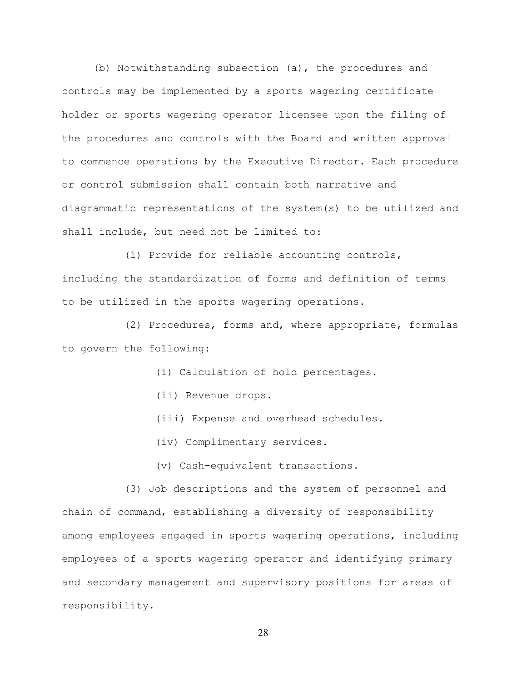(b) Notwithstanding subsection (a), the procedures and controls may be implemented by a sports wagering certificate holder or sports wagering operator licensee upon the filing of the procedures and controls with the Board and written approval to commence operations by the Executive Director. Each procedure or control submission shall contain both narrative and diagrammatic representations of the system(s) to be utilized and shall include, but need not be limited to:

(1) Provide for reliable accounting controls, including the standardization of forms and definition of terms to be utilized in the sports wagering operations.

(2) Procedures, forms and, where appropriate, formulas to govern the following:

(i) Calculation of hold percentages.

(ii) Revenue drops.

(iii) Expense and overhead schedules.

(iv) Complimentary services.

(v) Cash-equivalent transactions.

(3) Job descriptions and the system of personnel and chain of command, establishing a diversity of responsibility among employees engaged in sports wagering operations, including employees of a sports wagering operator and identifying primary and secondary management and supervisory positions for areas of responsibility.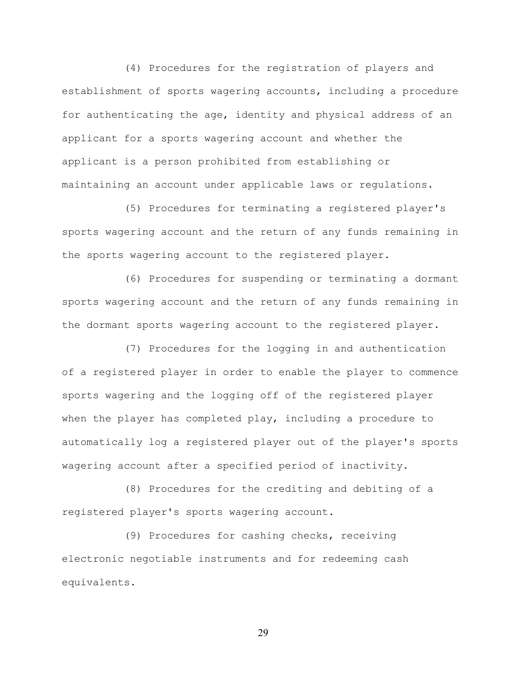(4) Procedures for the registration of players and establishment of sports wagering accounts, including a procedure for authenticating the age, identity and physical address of an applicant for a sports wagering account and whether the applicant is a person prohibited from establishing or maintaining an account under applicable laws or regulations.

(5) Procedures for terminating a registered player's sports wagering account and the return of any funds remaining in the sports wagering account to the registered player.

(6) Procedures for suspending or terminating a dormant sports wagering account and the return of any funds remaining in the dormant sports wagering account to the registered player.

(7) Procedures for the logging in and authentication of a registered player in order to enable the player to commence sports wagering and the logging off of the registered player when the player has completed play, including a procedure to automatically log a registered player out of the player's sports wagering account after a specified period of inactivity.

(8) Procedures for the crediting and debiting of a registered player's sports wagering account.

(9) Procedures for cashing checks, receiving electronic negotiable instruments and for redeeming cash equivalents.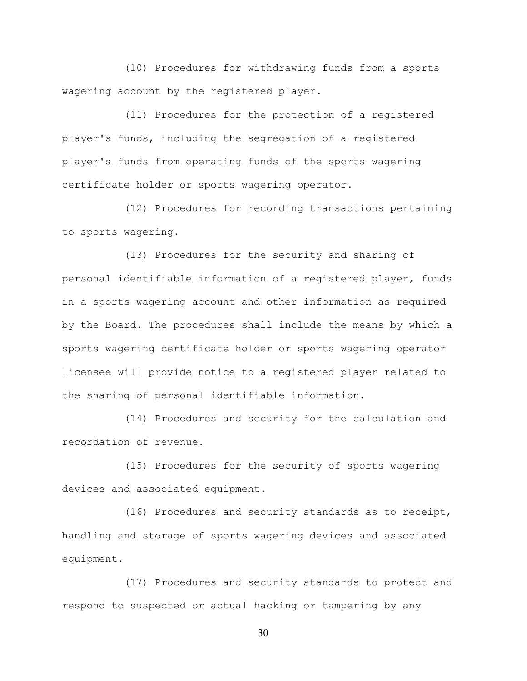(10) Procedures for withdrawing funds from a sports wagering account by the registered player.

(11) Procedures for the protection of a registered player's funds, including the segregation of a registered player's funds from operating funds of the sports wagering certificate holder or sports wagering operator.

(12) Procedures for recording transactions pertaining to sports wagering.

(13) Procedures for the security and sharing of personal identifiable information of a registered player, funds in a sports wagering account and other information as required by the Board. The procedures shall include the means by which a sports wagering certificate holder or sports wagering operator licensee will provide notice to a registered player related to the sharing of personal identifiable information.

(14) Procedures and security for the calculation and recordation of revenue.

(15) Procedures for the security of sports wagering devices and associated equipment.

(16) Procedures and security standards as to receipt, handling and storage of sports wagering devices and associated equipment.

(17) Procedures and security standards to protect and respond to suspected or actual hacking or tampering by any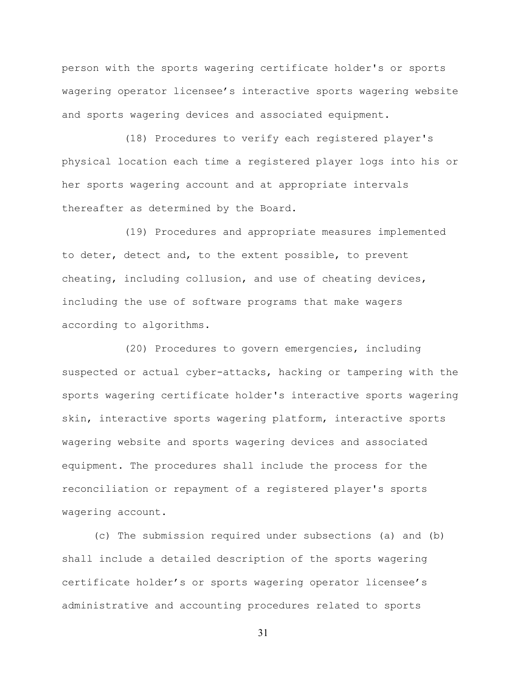person with the sports wagering certificate holder's or sports wagering operator licensee's interactive sports wagering website and sports wagering devices and associated equipment.

(18) Procedures to verify each registered player's physical location each time a registered player logs into his or her sports wagering account and at appropriate intervals thereafter as determined by the Board.

(19) Procedures and appropriate measures implemented to deter, detect and, to the extent possible, to prevent cheating, including collusion, and use of cheating devices, including the use of software programs that make wagers according to algorithms.

(20) Procedures to govern emergencies, including suspected or actual cyber-attacks, hacking or tampering with the sports wagering certificate holder's interactive sports wagering skin, interactive sports wagering platform, interactive sports wagering website and sports wagering devices and associated equipment. The procedures shall include the process for the reconciliation or repayment of a registered player's sports wagering account.

(c) The submission required under subsections (a) and (b) shall include a detailed description of the sports wagering certificate holder's or sports wagering operator licensee's administrative and accounting procedures related to sports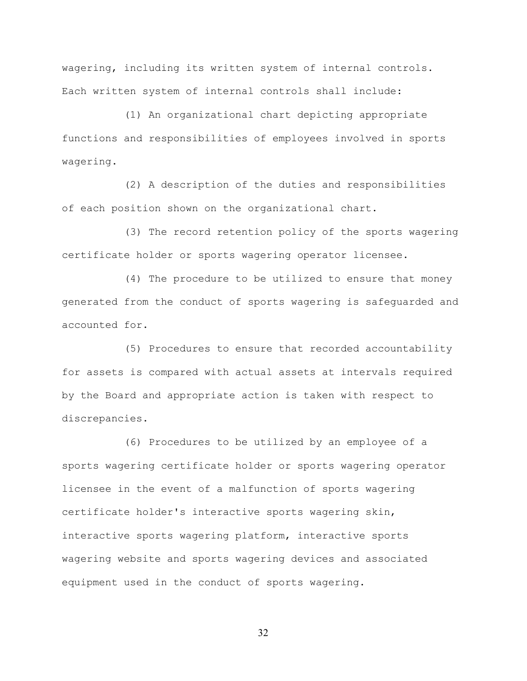wagering, including its written system of internal controls. Each written system of internal controls shall include:

(1) An organizational chart depicting appropriate functions and responsibilities of employees involved in sports wagering.

(2) A description of the duties and responsibilities of each position shown on the organizational chart.

(3) The record retention policy of the sports wagering certificate holder or sports wagering operator licensee.

(4) The procedure to be utilized to ensure that money generated from the conduct of sports wagering is safeguarded and accounted for.

(5) Procedures to ensure that recorded accountability for assets is compared with actual assets at intervals required by the Board and appropriate action is taken with respect to discrepancies.

(6) Procedures to be utilized by an employee of a sports wagering certificate holder or sports wagering operator licensee in the event of a malfunction of sports wagering certificate holder's interactive sports wagering skin, interactive sports wagering platform, interactive sports wagering website and sports wagering devices and associated equipment used in the conduct of sports wagering.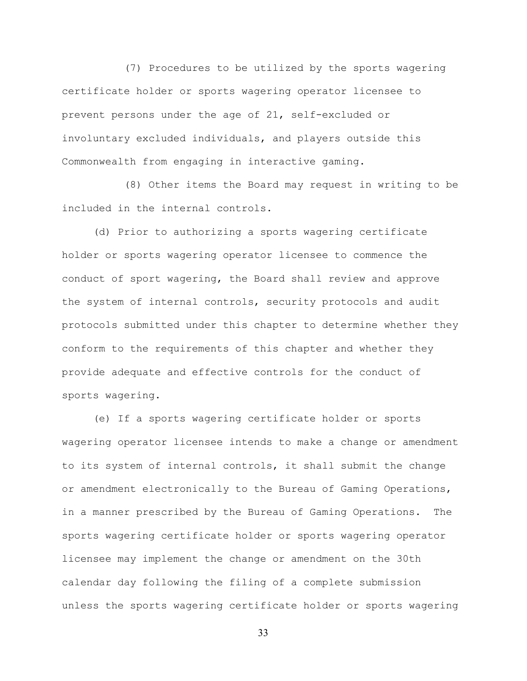(7) Procedures to be utilized by the sports wagering certificate holder or sports wagering operator licensee to prevent persons under the age of 21, self-excluded or involuntary excluded individuals, and players outside this Commonwealth from engaging in interactive gaming.

(8) Other items the Board may request in writing to be included in the internal controls.

(d) Prior to authorizing a sports wagering certificate holder or sports wagering operator licensee to commence the conduct of sport wagering, the Board shall review and approve the system of internal controls, security protocols and audit protocols submitted under this chapter to determine whether they conform to the requirements of this chapter and whether they provide adequate and effective controls for the conduct of sports wagering.

(e) If a sports wagering certificate holder or sports wagering operator licensee intends to make a change or amendment to its system of internal controls, it shall submit the change or amendment electronically to the Bureau of Gaming Operations, in a manner prescribed by the Bureau of Gaming Operations. The sports wagering certificate holder or sports wagering operator licensee may implement the change or amendment on the 30th calendar day following the filing of a complete submission unless the sports wagering certificate holder or sports wagering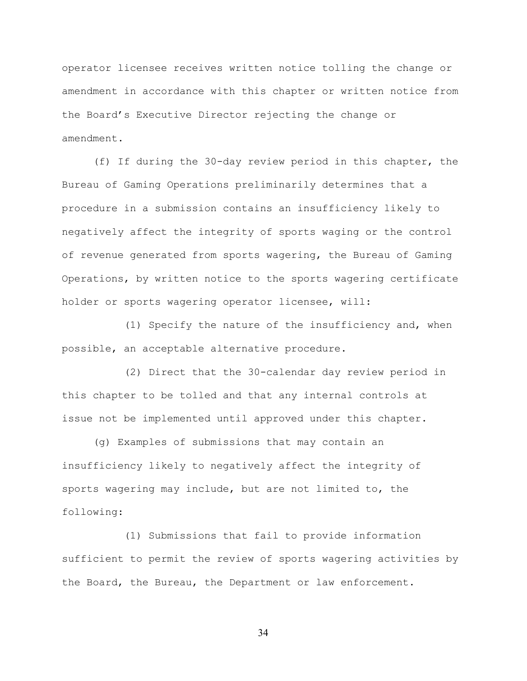operator licensee receives written notice tolling the change or amendment in accordance with this chapter or written notice from the Board's Executive Director rejecting the change or amendment.

(f) If during the 30-day review period in this chapter, the Bureau of Gaming Operations preliminarily determines that a procedure in a submission contains an insufficiency likely to negatively affect the integrity of sports waging or the control of revenue generated from sports wagering, the Bureau of Gaming Operations, by written notice to the sports wagering certificate holder or sports wagering operator licensee, will:

(1) Specify the nature of the insufficiency and, when possible, an acceptable alternative procedure.

(2) Direct that the 30-calendar day review period in this chapter to be tolled and that any internal controls at issue not be implemented until approved under this chapter.

(g) Examples of submissions that may contain an insufficiency likely to negatively affect the integrity of sports wagering may include, but are not limited to, the following:

(1) Submissions that fail to provide information sufficient to permit the review of sports wagering activities by the Board, the Bureau, the Department or law enforcement.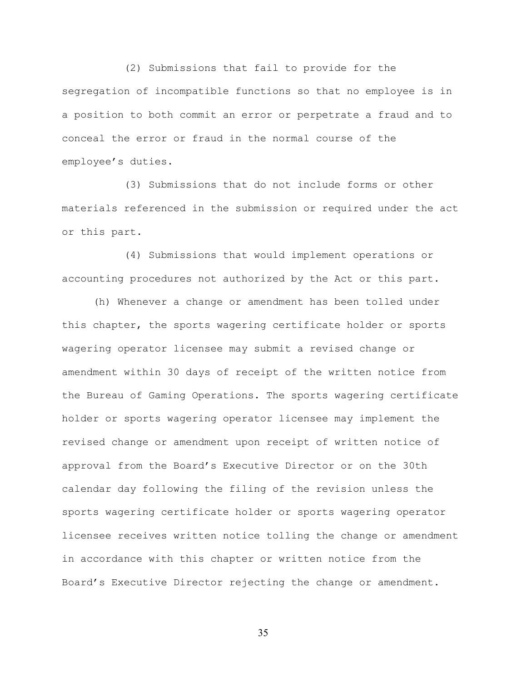(2) Submissions that fail to provide for the segregation of incompatible functions so that no employee is in a position to both commit an error or perpetrate a fraud and to conceal the error or fraud in the normal course of the employee's duties.

(3) Submissions that do not include forms or other materials referenced in the submission or required under the act or this part.

(4) Submissions that would implement operations or accounting procedures not authorized by the Act or this part.

(h) Whenever a change or amendment has been tolled under this chapter, the sports wagering certificate holder or sports wagering operator licensee may submit a revised change or amendment within 30 days of receipt of the written notice from the Bureau of Gaming Operations. The sports wagering certificate holder or sports wagering operator licensee may implement the revised change or amendment upon receipt of written notice of approval from the Board's Executive Director or on the 30th calendar day following the filing of the revision unless the sports wagering certificate holder or sports wagering operator licensee receives written notice tolling the change or amendment in accordance with this chapter or written notice from the Board's Executive Director rejecting the change or amendment.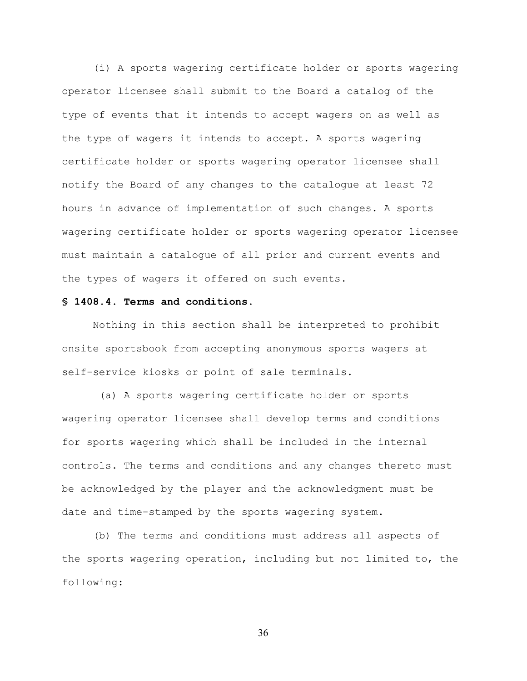(i) A sports wagering certificate holder or sports wagering operator licensee shall submit to the Board a catalog of the type of events that it intends to accept wagers on as well as the type of wagers it intends to accept. A sports wagering certificate holder or sports wagering operator licensee shall notify the Board of any changes to the catalogue at least 72 hours in advance of implementation of such changes. A sports wagering certificate holder or sports wagering operator licensee must maintain a catalogue of all prior and current events and the types of wagers it offered on such events.

#### **§ 1408.4. Terms and conditions.**

Nothing in this section shall be interpreted to prohibit onsite sportsbook from accepting anonymous sports wagers at self-service kiosks or point of sale terminals.

(a) A sports wagering certificate holder or sports wagering operator licensee shall develop terms and conditions for sports wagering which shall be included in the internal controls. The terms and conditions and any changes thereto must be acknowledged by the player and the acknowledgment must be date and time-stamped by the sports wagering system.

(b) The terms and conditions must address all aspects of the sports wagering operation, including but not limited to, the following: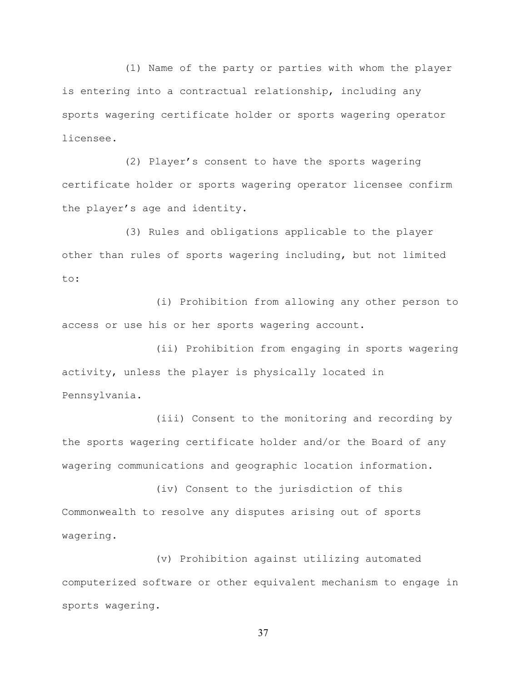(1) Name of the party or parties with whom the player is entering into a contractual relationship, including any sports wagering certificate holder or sports wagering operator licensee.

(2) Player's consent to have the sports wagering certificate holder or sports wagering operator licensee confirm the player's age and identity.

(3) Rules and obligations applicable to the player other than rules of sports wagering including, but not limited to:

(i) Prohibition from allowing any other person to access or use his or her sports wagering account.

(ii) Prohibition from engaging in sports wagering activity, unless the player is physically located in Pennsylvania.

(iii) Consent to the monitoring and recording by the sports wagering certificate holder and/or the Board of any wagering communications and geographic location information.

(iv) Consent to the jurisdiction of this Commonwealth to resolve any disputes arising out of sports wagering.

(v) Prohibition against utilizing automated computerized software or other equivalent mechanism to engage in sports wagering.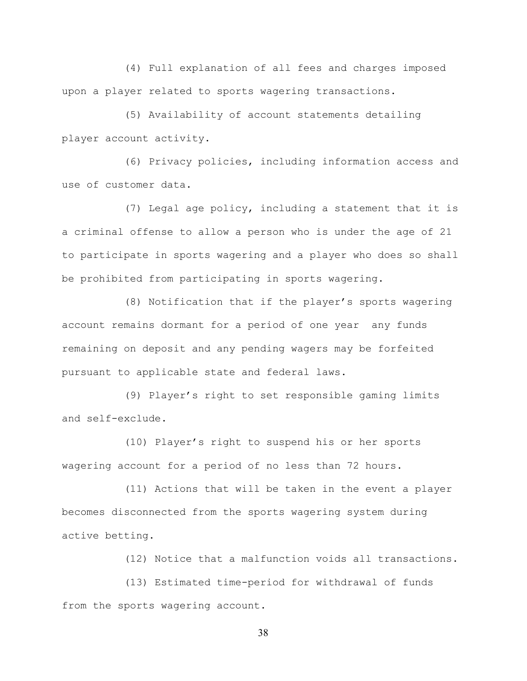(4) Full explanation of all fees and charges imposed upon a player related to sports wagering transactions.

(5) Availability of account statements detailing player account activity.

(6) Privacy policies, including information access and use of customer data.

(7) Legal age policy, including a statement that it is a criminal offense to allow a person who is under the age of 21 to participate in sports wagering and a player who does so shall be prohibited from participating in sports wagering.

(8) Notification that if the player's sports wagering account remains dormant for a period of one year any funds remaining on deposit and any pending wagers may be forfeited pursuant to applicable state and federal laws.

(9) Player's right to set responsible gaming limits and self-exclude.

(10) Player's right to suspend his or her sports wagering account for a period of no less than 72 hours.

(11) Actions that will be taken in the event a player becomes disconnected from the sports wagering system during active betting.

(12) Notice that a malfunction voids all transactions.

(13) Estimated time-period for withdrawal of funds from the sports wagering account.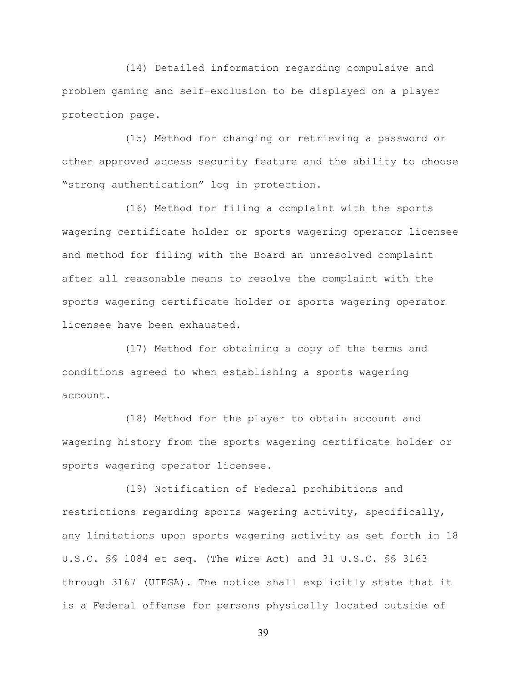(14) Detailed information regarding compulsive and problem gaming and self-exclusion to be displayed on a player protection page.

(15) Method for changing or retrieving a password or other approved access security feature and the ability to choose "strong authentication" log in protection.

(16) Method for filing a complaint with the sports wagering certificate holder or sports wagering operator licensee and method for filing with the Board an unresolved complaint after all reasonable means to resolve the complaint with the sports wagering certificate holder or sports wagering operator licensee have been exhausted.

(17) Method for obtaining a copy of the terms and conditions agreed to when establishing a sports wagering account.

(18) Method for the player to obtain account and wagering history from the sports wagering certificate holder or sports wagering operator licensee.

(19) Notification of Federal prohibitions and restrictions regarding sports wagering activity, specifically, any limitations upon sports wagering activity as set forth in 18 U.S.C. §§ 1084 et seq. (The Wire Act) and 31 U.S.C. §§ 3163 through 3167 (UIEGA). The notice shall explicitly state that it is a Federal offense for persons physically located outside of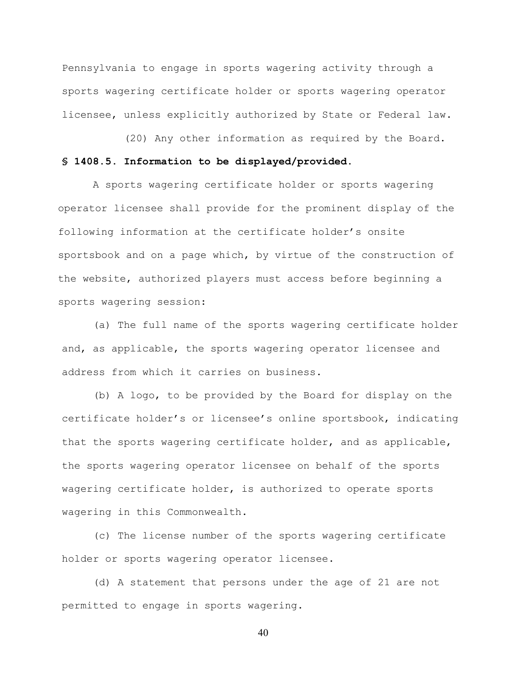Pennsylvania to engage in sports wagering activity through a sports wagering certificate holder or sports wagering operator licensee, unless explicitly authorized by State or Federal law.

(20) Any other information as required by the Board. **§ 1408.5. Information to be displayed/provided.**

A sports wagering certificate holder or sports wagering operator licensee shall provide for the prominent display of the following information at the certificate holder's onsite sportsbook and on a page which, by virtue of the construction of the website, authorized players must access before beginning a sports wagering session:

(a) The full name of the sports wagering certificate holder and, as applicable, the sports wagering operator licensee and address from which it carries on business.

(b) A logo, to be provided by the Board for display on the certificate holder's or licensee's online sportsbook, indicating that the sports wagering certificate holder, and as applicable, the sports wagering operator licensee on behalf of the sports wagering certificate holder, is authorized to operate sports wagering in this Commonwealth.

(c) The license number of the sports wagering certificate holder or sports wagering operator licensee.

(d) A statement that persons under the age of 21 are not permitted to engage in sports wagering.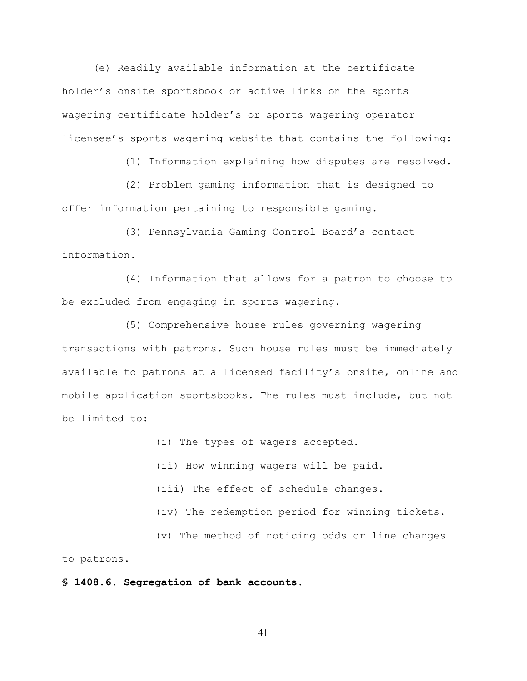(e) Readily available information at the certificate holder's onsite sportsbook or active links on the sports wagering certificate holder's or sports wagering operator licensee's sports wagering website that contains the following:

(1) Information explaining how disputes are resolved.

(2) Problem gaming information that is designed to offer information pertaining to responsible gaming.

(3) Pennsylvania Gaming Control Board's contact information.

(4) Information that allows for a patron to choose to be excluded from engaging in sports wagering.

(5) Comprehensive house rules governing wagering transactions with patrons. Such house rules must be immediately available to patrons at a licensed facility's onsite, online and mobile application sportsbooks. The rules must include, but not be limited to:

(i) The types of wagers accepted.

(ii) How winning wagers will be paid.

(iii) The effect of schedule changes.

(iv) The redemption period for winning tickets.

(v) The method of noticing odds or line changes to patrons.

**§ 1408.6. Segregation of bank accounts.**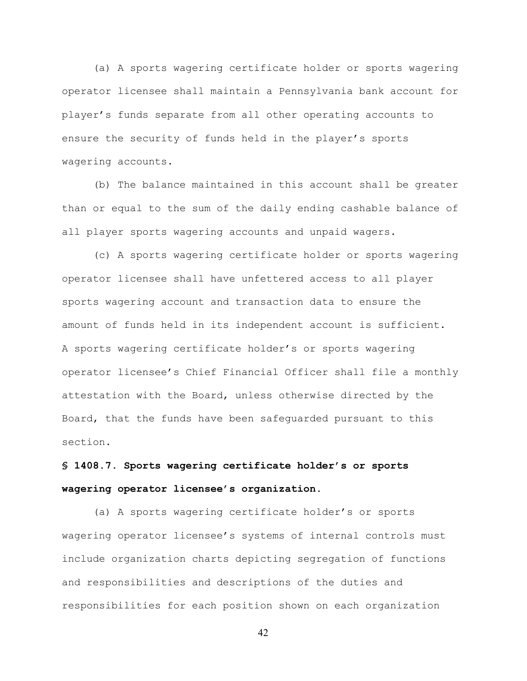(a) A sports wagering certificate holder or sports wagering operator licensee shall maintain a Pennsylvania bank account for player's funds separate from all other operating accounts to ensure the security of funds held in the player's sports wagering accounts.

(b) The balance maintained in this account shall be greater than or equal to the sum of the daily ending cashable balance of all player sports wagering accounts and unpaid wagers.

(c) A sports wagering certificate holder or sports wagering operator licensee shall have unfettered access to all player sports wagering account and transaction data to ensure the amount of funds held in its independent account is sufficient. A sports wagering certificate holder's or sports wagering operator licensee's Chief Financial Officer shall file a monthly attestation with the Board, unless otherwise directed by the Board, that the funds have been safeguarded pursuant to this section.

# **§ 1408.7. Sports wagering certificate holder's or sports wagering operator licensee's organization.**

(a) A sports wagering certificate holder's or sports wagering operator licensee's systems of internal controls must include organization charts depicting segregation of functions and responsibilities and descriptions of the duties and responsibilities for each position shown on each organization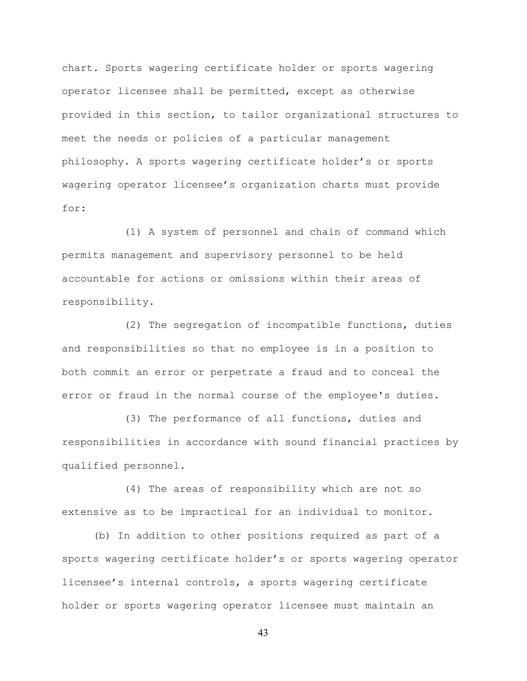chart. Sports wagering certificate holder or sports wagering operator licensee shall be permitted, except as otherwise provided in this section, to tailor organizational structures to meet the needs or policies of a particular management philosophy. A sports wagering certificate holder's or sports wagering operator licensee's organization charts must provide for:

(1) A system of personnel and chain of command which permits management and supervisory personnel to be held accountable for actions or omissions within their areas of responsibility.

(2) The segregation of incompatible functions, duties and responsibilities so that no employee is in a position to both commit an error or perpetrate a fraud and to conceal the error or fraud in the normal course of the employee's duties.

(3) The performance of all functions, duties and responsibilities in accordance with sound financial practices by qualified personnel.

(4) The areas of responsibility which are not so extensive as to be impractical for an individual to monitor.

(b) In addition to other positions required as part of a sports wagering certificate holder's or sports wagering operator licensee's internal controls, a sports wagering certificate holder or sports wagering operator licensee must maintain an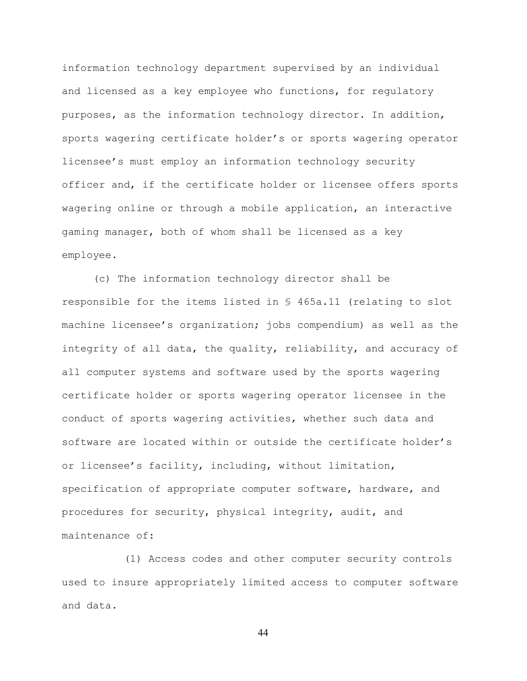information technology department supervised by an individual and licensed as a key employee who functions, for regulatory purposes, as the information technology director. In addition, sports wagering certificate holder's or sports wagering operator licensee's must employ an information technology security officer and, if the certificate holder or licensee offers sports wagering online or through a mobile application, an interactive gaming manager, both of whom shall be licensed as a key employee.

(c) The information technology director shall be responsible for the items listed in § 465a.11 (relating to slot machine licensee's organization; jobs compendium) as well as the integrity of all data, the quality, reliability, and accuracy of all computer systems and software used by the sports wagering certificate holder or sports wagering operator licensee in the conduct of sports wagering activities, whether such data and software are located within or outside the certificate holder's or licensee's facility, including, without limitation, specification of appropriate computer software, hardware, and procedures for security, physical integrity, audit, and maintenance of:

(1) Access codes and other computer security controls used to insure appropriately limited access to computer software and data.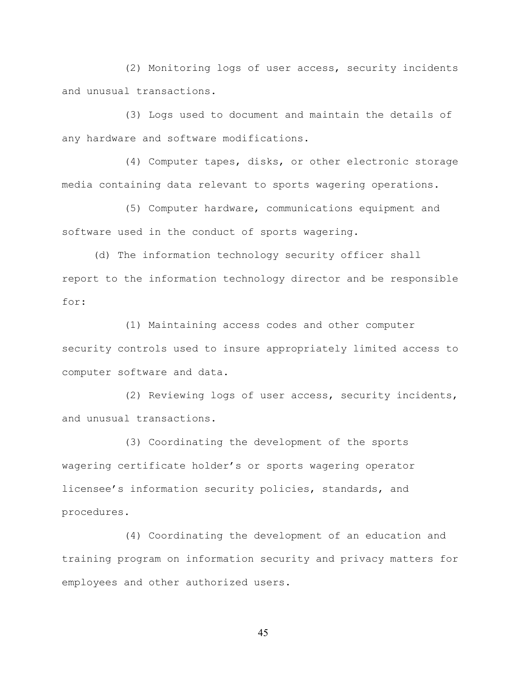(2) Monitoring logs of user access, security incidents and unusual transactions.

(3) Logs used to document and maintain the details of any hardware and software modifications.

(4) Computer tapes, disks, or other electronic storage media containing data relevant to sports wagering operations.

(5) Computer hardware, communications equipment and software used in the conduct of sports wagering.

(d) The information technology security officer shall report to the information technology director and be responsible for:

(1) Maintaining access codes and other computer security controls used to insure appropriately limited access to computer software and data.

(2) Reviewing logs of user access, security incidents, and unusual transactions.

(3) Coordinating the development of the sports wagering certificate holder's or sports wagering operator licensee's information security policies, standards, and procedures.

(4) Coordinating the development of an education and training program on information security and privacy matters for employees and other authorized users.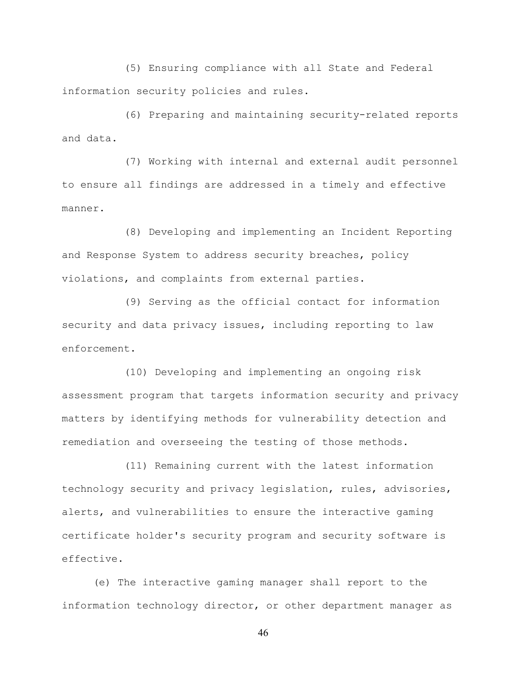(5) Ensuring compliance with all State and Federal information security policies and rules.

(6) Preparing and maintaining security-related reports and data.

(7) Working with internal and external audit personnel to ensure all findings are addressed in a timely and effective manner.

(8) Developing and implementing an Incident Reporting and Response System to address security breaches, policy violations, and complaints from external parties.

(9) Serving as the official contact for information security and data privacy issues, including reporting to law enforcement.

(10) Developing and implementing an ongoing risk assessment program that targets information security and privacy matters by identifying methods for vulnerability detection and remediation and overseeing the testing of those methods.

(11) Remaining current with the latest information technology security and privacy legislation, rules, advisories, alerts, and vulnerabilities to ensure the interactive gaming certificate holder's security program and security software is effective.

(e) The interactive gaming manager shall report to the information technology director, or other department manager as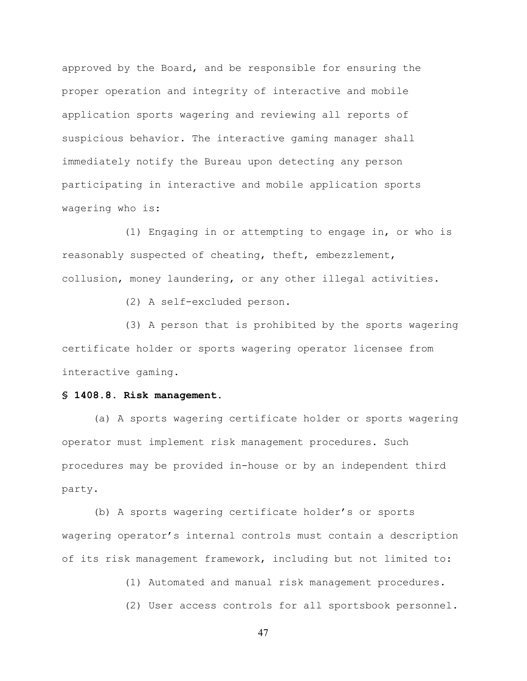approved by the Board, and be responsible for ensuring the proper operation and integrity of interactive and mobile application sports wagering and reviewing all reports of suspicious behavior. The interactive gaming manager shall immediately notify the Bureau upon detecting any person participating in interactive and mobile application sports wagering who is:

(1) Engaging in or attempting to engage in, or who is reasonably suspected of cheating, theft, embezzlement, collusion, money laundering, or any other illegal activities.

(2) A self-excluded person.

(3) A person that is prohibited by the sports wagering certificate holder or sports wagering operator licensee from interactive gaming.

#### **§ 1408.8. Risk management.**

(a) A sports wagering certificate holder or sports wagering operator must implement risk management procedures. Such procedures may be provided in-house or by an independent third party.

(b) A sports wagering certificate holder's or sports wagering operator's internal controls must contain a description of its risk management framework, including but not limited to:

(1) Automated and manual risk management procedures.

(2) User access controls for all sportsbook personnel.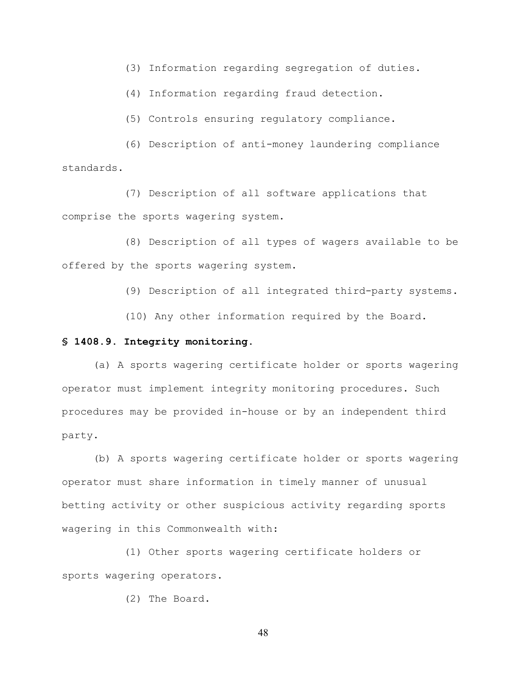(3) Information regarding segregation of duties.

(4) Information regarding fraud detection.

(5) Controls ensuring regulatory compliance.

(6) Description of anti-money laundering compliance standards.

(7) Description of all software applications that comprise the sports wagering system.

(8) Description of all types of wagers available to be offered by the sports wagering system.

(9) Description of all integrated third-party systems.

(10) Any other information required by the Board.

#### **§ 1408.9. Integrity monitoring.**

(a) A sports wagering certificate holder or sports wagering operator must implement integrity monitoring procedures. Such procedures may be provided in-house or by an independent third party.

(b) A sports wagering certificate holder or sports wagering operator must share information in timely manner of unusual betting activity or other suspicious activity regarding sports wagering in this Commonwealth with:

(1) Other sports wagering certificate holders or sports wagering operators.

(2) The Board.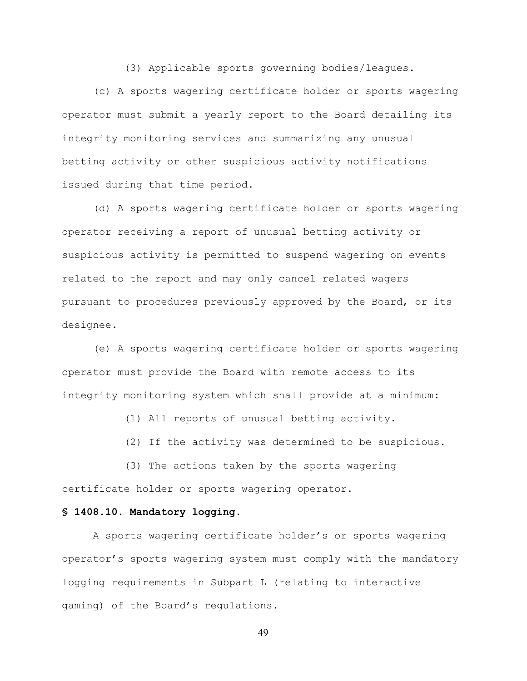(3) Applicable sports governing bodies/leagues.

(c) A sports wagering certificate holder or sports wagering operator must submit a yearly report to the Board detailing its integrity monitoring services and summarizing any unusual betting activity or other suspicious activity notifications issued during that time period.

(d) A sports wagering certificate holder or sports wagering operator receiving a report of unusual betting activity or suspicious activity is permitted to suspend wagering on events related to the report and may only cancel related wagers pursuant to procedures previously approved by the Board, or its designee.

(e) A sports wagering certificate holder or sports wagering operator must provide the Board with remote access to its integrity monitoring system which shall provide at a minimum:

(1) All reports of unusual betting activity.

(2) If the activity was determined to be suspicious.

(3) The actions taken by the sports wagering certificate holder or sports wagering operator.

# **§ 1408.10. Mandatory logging.**

A sports wagering certificate holder's or sports wagering operator's sports wagering system must comply with the mandatory logging requirements in Subpart L (relating to interactive gaming) of the Board's regulations.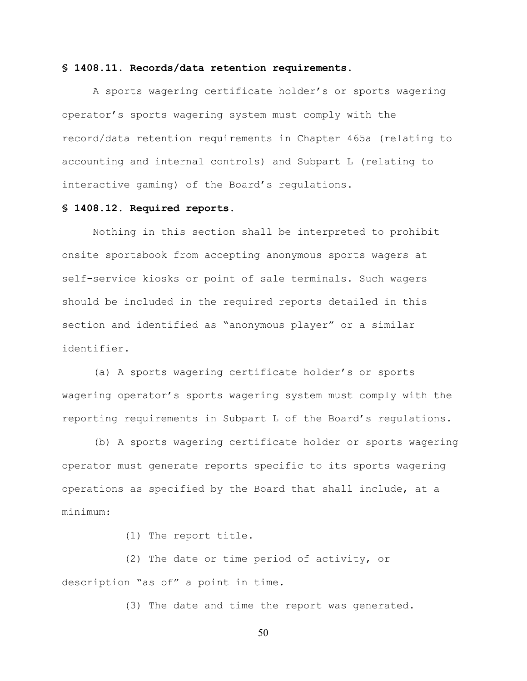#### **§ 1408.11. Records/data retention requirements.**

A sports wagering certificate holder's or sports wagering operator's sports wagering system must comply with the record/data retention requirements in Chapter 465a (relating to accounting and internal controls) and Subpart L (relating to interactive gaming) of the Board's regulations.

## **§ 1408.12. Required reports.**

Nothing in this section shall be interpreted to prohibit onsite sportsbook from accepting anonymous sports wagers at self-service kiosks or point of sale terminals. Such wagers should be included in the required reports detailed in this section and identified as "anonymous player" or a similar identifier.

(a) A sports wagering certificate holder's or sports wagering operator's sports wagering system must comply with the reporting requirements in Subpart L of the Board's regulations.

(b) A sports wagering certificate holder or sports wagering operator must generate reports specific to its sports wagering operations as specified by the Board that shall include, at a minimum:

(1) The report title.

(2) The date or time period of activity, or description "as of" a point in time.

(3) The date and time the report was generated.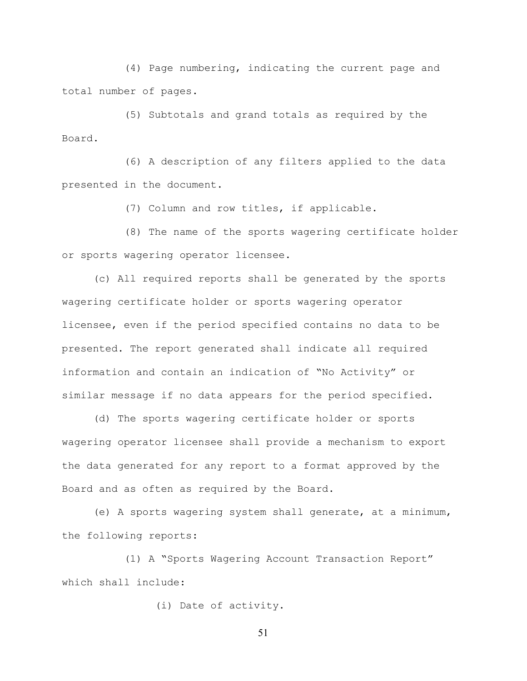(4) Page numbering, indicating the current page and total number of pages.

(5) Subtotals and grand totals as required by the Board.

(6) A description of any filters applied to the data presented in the document.

(7) Column and row titles, if applicable.

(8) The name of the sports wagering certificate holder or sports wagering operator licensee.

(c) All required reports shall be generated by the sports wagering certificate holder or sports wagering operator licensee, even if the period specified contains no data to be presented. The report generated shall indicate all required information and contain an indication of "No Activity" or similar message if no data appears for the period specified.

(d) The sports wagering certificate holder or sports wagering operator licensee shall provide a mechanism to export the data generated for any report to a format approved by the Board and as often as required by the Board.

(e) A sports wagering system shall generate, at a minimum, the following reports:

(1) A "Sports Wagering Account Transaction Report" which shall include:

(i) Date of activity.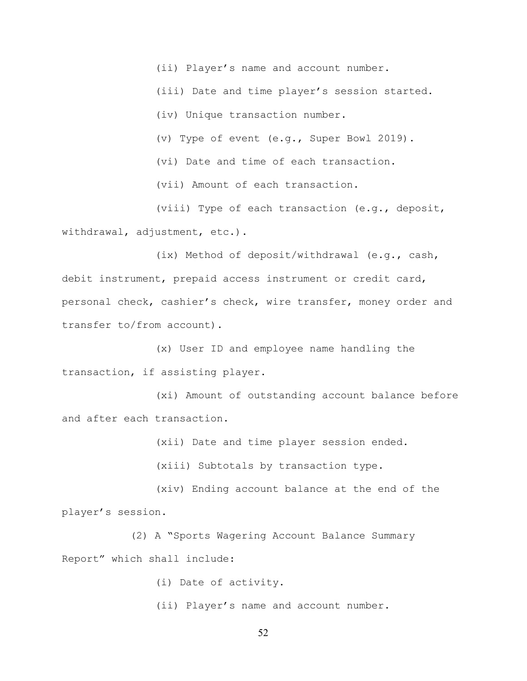(ii) Player's name and account number.

(iii) Date and time player's session started.

(iv) Unique transaction number.

(v) Type of event (e.g., Super Bowl 2019).

(vi) Date and time of each transaction.

(vii) Amount of each transaction.

(viii) Type of each transaction (e.g., deposit, withdrawal, adjustment, etc.).

(ix) Method of deposit/withdrawal (e.g., cash, debit instrument, prepaid access instrument or credit card, personal check, cashier's check, wire transfer, money order and transfer to/from account).

(x) User ID and employee name handling the transaction, if assisting player.

(xi) Amount of outstanding account balance before and after each transaction.

(xii) Date and time player session ended.

(xiii) Subtotals by transaction type.

(xiv) Ending account balance at the end of the player's session.

(2) A "Sports Wagering Account Balance Summary Report" which shall include:

(i) Date of activity.

(ii) Player's name and account number.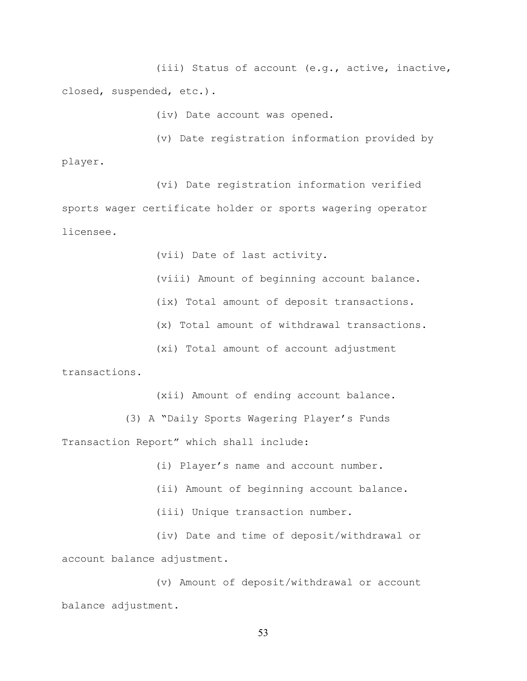(iii) Status of account (e.g., active, inactive, closed, suspended, etc.).

(iv) Date account was opened.

(v) Date registration information provided by player.

(vi) Date registration information verified sports wager certificate holder or sports wagering operator licensee.

(vii) Date of last activity.

(viii) Amount of beginning account balance.

(ix) Total amount of deposit transactions.

(x) Total amount of withdrawal transactions.

(xi) Total amount of account adjustment

transactions.

(xii) Amount of ending account balance.

(3) A "Daily Sports Wagering Player's Funds Transaction Report" which shall include:

(i) Player's name and account number.

(ii) Amount of beginning account balance.

(iii) Unique transaction number.

(iv) Date and time of deposit/withdrawal or account balance adjustment.

(v) Amount of deposit/withdrawal or account balance adjustment.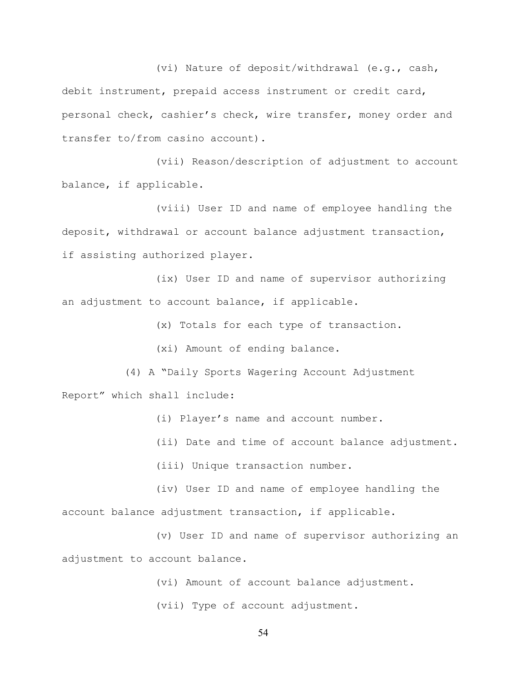(vi) Nature of deposit/withdrawal (e.g., cash, debit instrument, prepaid access instrument or credit card, personal check, cashier's check, wire transfer, money order and transfer to/from casino account).

(vii) Reason/description of adjustment to account balance, if applicable.

(viii) User ID and name of employee handling the deposit, withdrawal or account balance adjustment transaction, if assisting authorized player.

(ix) User ID and name of supervisor authorizing an adjustment to account balance, if applicable.

(x) Totals for each type of transaction.

(xi) Amount of ending balance.

(4) A "Daily Sports Wagering Account Adjustment

Report" which shall include:

(i) Player's name and account number.

(ii) Date and time of account balance adjustment.

(iii) Unique transaction number.

(iv) User ID and name of employee handling the account balance adjustment transaction, if applicable.

(v) User ID and name of supervisor authorizing an adjustment to account balance.

(vi) Amount of account balance adjustment.

(vii) Type of account adjustment.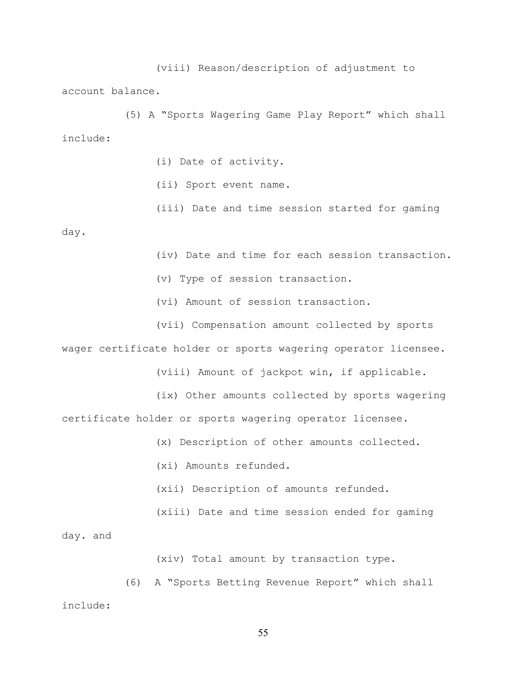(viii) Reason/description of adjustment to account balance.

(5) A "Sports Wagering Game Play Report" which shall include:

(i) Date of activity.

(ii) Sport event name.

(iii) Date and time session started for gaming day.

(iv) Date and time for each session transaction.

(v) Type of session transaction.

(vi) Amount of session transaction.

(vii) Compensation amount collected by sports

wager certificate holder or sports wagering operator licensee.

(viii) Amount of jackpot win, if applicable.

(ix) Other amounts collected by sports wagering certificate holder or sports wagering operator licensee.

(x) Description of other amounts collected.

(xi) Amounts refunded.

(xii) Description of amounts refunded.

(xiii) Date and time session ended for gaming

day. and

(xiv) Total amount by transaction type.

(6) A "Sports Betting Revenue Report" which shall include: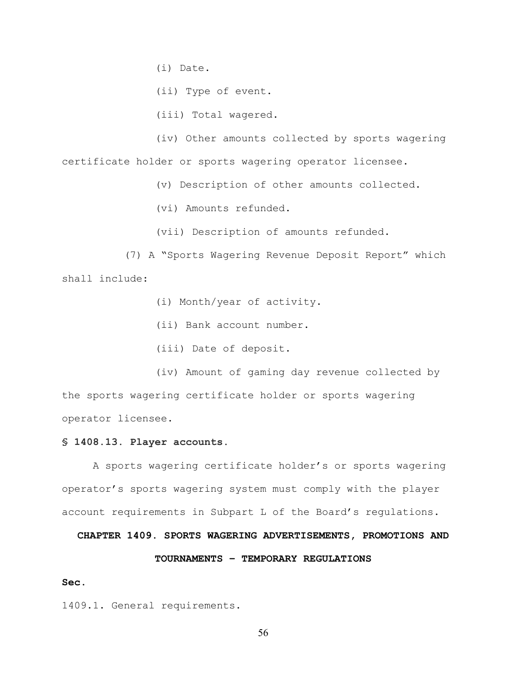(i) Date.

(ii) Type of event.

(iii) Total wagered.

(iv) Other amounts collected by sports wagering certificate holder or sports wagering operator licensee.

(v) Description of other amounts collected.

(vi) Amounts refunded.

(vii) Description of amounts refunded.

(7) A "Sports Wagering Revenue Deposit Report" which shall include:

(i) Month/year of activity.

(ii) Bank account number.

(iii) Date of deposit.

(iv) Amount of gaming day revenue collected by the sports wagering certificate holder or sports wagering operator licensee.

## **§ 1408.13. Player accounts.**

A sports wagering certificate holder's or sports wagering operator's sports wagering system must comply with the player account requirements in Subpart L of the Board's regulations.

**CHAPTER 1409. SPORTS WAGERING ADVERTISEMENTS, PROMOTIONS AND** 

# **TOURNAMENTS – TEMPORARY REGULATIONS**

### **Sec.**

1409.1. General requirements.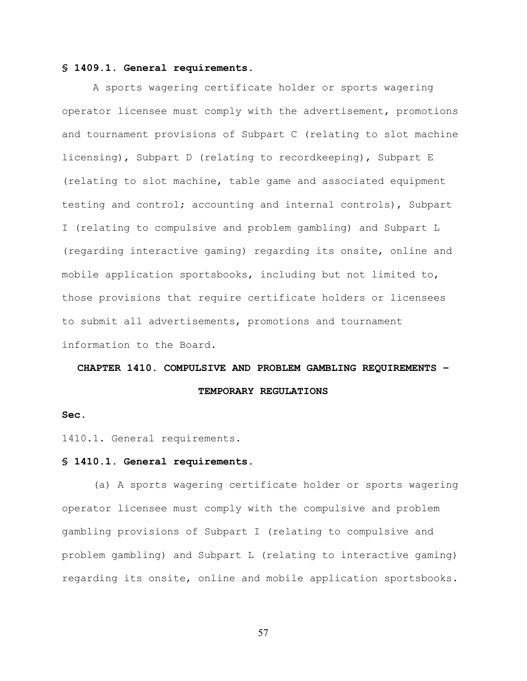### **§ 1409.1. General requirements.**

A sports wagering certificate holder or sports wagering operator licensee must comply with the advertisement, promotions and tournament provisions of Subpart C (relating to slot machine licensing), Subpart D (relating to recordkeeping), Subpart E (relating to slot machine, table game and associated equipment testing and control; accounting and internal controls), Subpart I (relating to compulsive and problem gambling) and Subpart L (regarding interactive gaming) regarding its onsite, online and mobile application sportsbooks, including but not limited to, those provisions that require certificate holders or licensees to submit all advertisements, promotions and tournament information to the Board.

#### **CHAPTER 1410. COMPULSIVE AND PROBLEM GAMBLING REQUIREMENTS –**

**TEMPORARY REGULATIONS**

#### **Sec.**

1410.1. General requirements.

#### **§ 1410.1. General requirements.**

(a) A sports wagering certificate holder or sports wagering operator licensee must comply with the compulsive and problem gambling provisions of Subpart I (relating to compulsive and problem gambling) and Subpart L (relating to interactive gaming) regarding its onsite, online and mobile application sportsbooks.